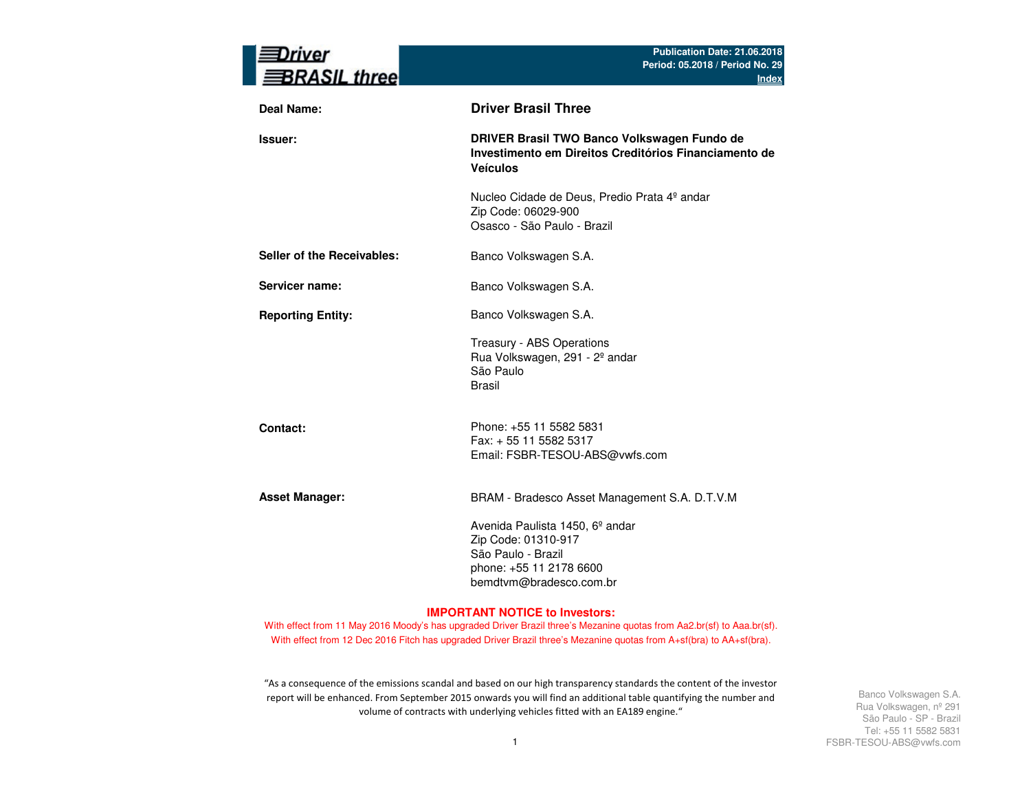| river<br><b>BRASIL three</b> | Publication Date: 21.06.2018<br>Period: 05.2018 / Period No. 29<br><b>Index</b>                                                                |
|------------------------------|------------------------------------------------------------------------------------------------------------------------------------------------|
| Deal Name:                   | <b>Driver Brasil Three</b>                                                                                                                     |
| <b>Issuer:</b>               | DRIVER Brasil TWO Banco Volkswagen Fundo de<br>Investimento em Direitos Creditórios Financiamento de<br><b>Veículos</b>                        |
|                              | Nucleo Cidade de Deus, Predio Prata 4º andar<br>Zip Code: 06029-900<br>Osasco - São Paulo - Brazil                                             |
| Seller of the Receivables:   | Banco Volkswagen S.A.                                                                                                                          |
| Servicer name:               | Banco Volkswagen S.A.                                                                                                                          |
| <b>Reporting Entity:</b>     | Banco Volkswagen S.A.                                                                                                                          |
|                              | Treasury - ABS Operations<br>Rua Volkswagen, 291 - 2º andar<br>São Paulo<br><b>Brasil</b>                                                      |
| Contact:                     | Phone: +55 11 5582 5831<br>Fax: + 55 11 5582 5317<br>Email: FSBR-TESOU-ABS@vwfs.com                                                            |
| <b>Asset Manager:</b>        | BRAM - Bradesco Asset Management S.A. D.T.V.M                                                                                                  |
|                              | Avenida Paulista 1450, 6 <sup>°</sup> andar<br>Zip Code: 01310-917<br>São Paulo - Brazil<br>phone: +55 11 2178 6600<br>bemdtvm@bradesco.com.br |

#### **IMPORTANT NOTICE to Investors:**

With effect from 11 May 2016 Moody's has upgraded Driver Brazil three's Mezanine quotas from Aa2.br(sf) to Aaa.br(sf). With effect from 12 Dec 2016 Fitch has upgraded Driver Brazil three's Mezanine quotas from A+sf(bra) to AA+sf(bra).

"As a consequence of the emissions scandal and based on our high transparency standards the content of the investor report will be enhanced. From September 2015 onwards you will find an additional table quantifying the number and volume of contracts with underlying vehicles fitted with an EA189 engine."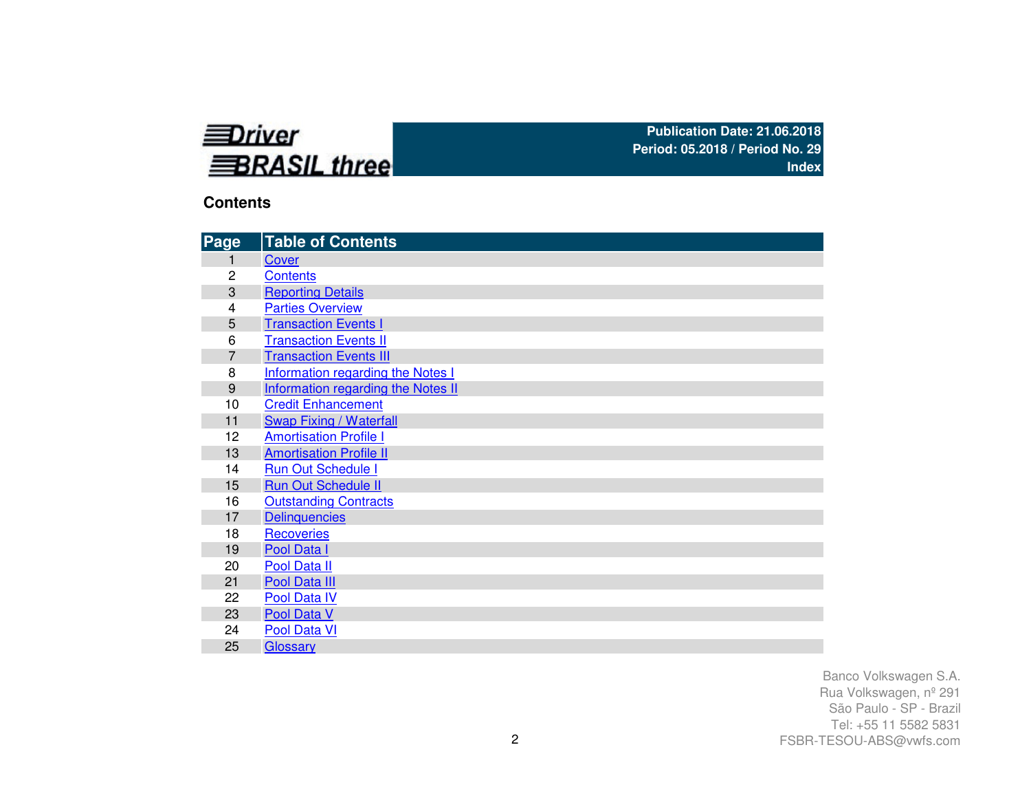

### **Contents**

| Page           | <b>Table of Contents</b>                 |
|----------------|------------------------------------------|
| 1              | Cover                                    |
| 2              | <b>Contents</b>                          |
| 3              | <b>Reporting Details</b>                 |
| 4              | <b>Parties Overview</b>                  |
| 5              | <b>Transaction Events I</b>              |
| 6              | <b>Transaction Events II</b>             |
| $\overline{7}$ | <b>Transaction Events III</b>            |
| 8              | <b>Information regarding the Notes I</b> |
| 9              | Information regarding the Notes II       |
| 10             | <b>Credit Enhancement</b>                |
| 11             | <b>Swap Fixing / Waterfall</b>           |
| 12             | <b>Amortisation Profile I</b>            |
| 13             | <b>Amortisation Profile II</b>           |
| 14             | <b>Run Out Schedule I</b>                |
| 15             | <b>Run Out Schedule II</b>               |
| 16             | <b>Outstanding Contracts</b>             |
| 17             | <b>Delinquencies</b>                     |
| 18             | Recoveries                               |
| 19             | Pool Data I                              |
| 20             | Pool Data II                             |
| 21             | Pool Data III                            |
| 22             | Pool Data IV                             |
| 23             | Pool Data V                              |
| 24             | Pool Data VI                             |
| 25             | Glossary                                 |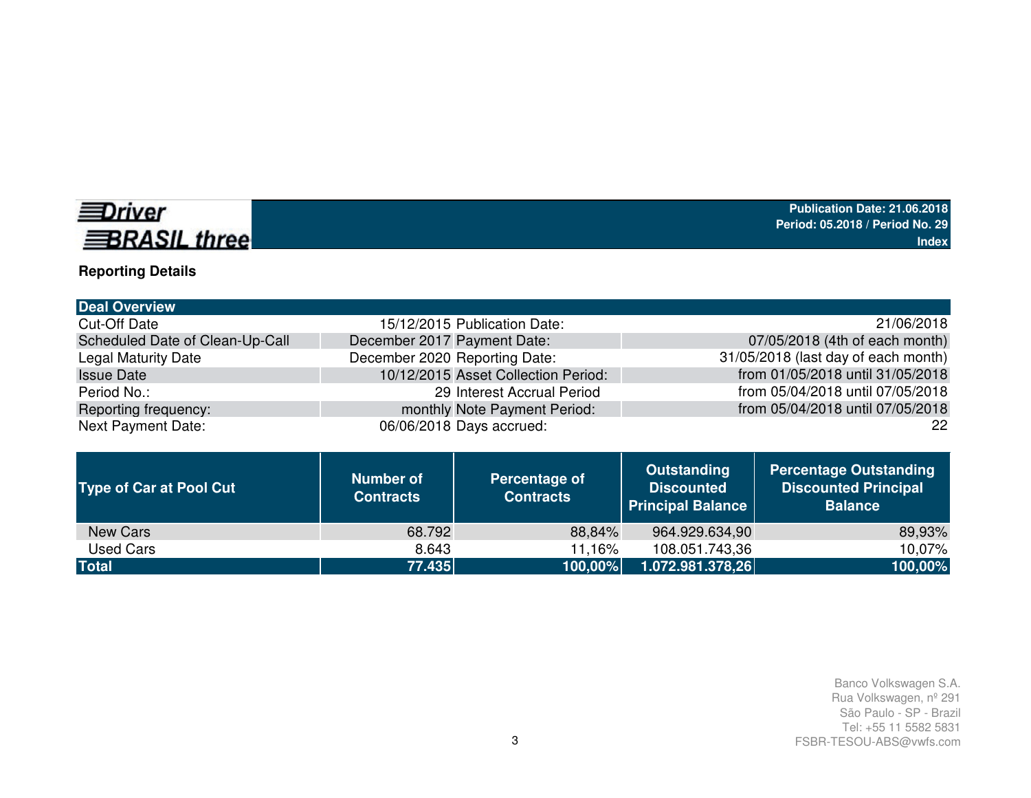# **EDriver BRASIL three**

# **Reporting Details**

| <b>Deal Overview</b>            |                                     |                                     |
|---------------------------------|-------------------------------------|-------------------------------------|
| <b>Cut-Off Date</b>             | 15/12/2015 Publication Date:        | 21/06/2018                          |
| Scheduled Date of Clean-Up-Call | December 2017 Payment Date:         | 07/05/2018 (4th of each month)      |
| Legal Maturity Date             | December 2020 Reporting Date:       | 31/05/2018 (last day of each month) |
| <b>Issue Date</b>               | 10/12/2015 Asset Collection Period: | from 01/05/2018 until 31/05/2018    |
| Period No.:                     | 29 Interest Accrual Period          | from 05/04/2018 until 07/05/2018    |
| Reporting frequency:            | monthly Note Payment Period:        | from 05/04/2018 until 07/05/2018    |
| Next Payment Date:              | 06/06/2018 Days accrued:            | 22                                  |
|                                 |                                     |                                     |

| <b>Type of Car at Pool Cut</b> | <b>Number of</b><br><b>Contracts</b> | Percentage of<br><b>Contracts</b> | <b>Outstanding</b><br><b>Discounted</b><br><b>Principal Balance</b> | <b>Percentage Outstanding</b><br><b>Discounted Principal</b><br><b>Balance</b> |
|--------------------------------|--------------------------------------|-----------------------------------|---------------------------------------------------------------------|--------------------------------------------------------------------------------|
| New Cars                       | 68.792                               | 88,84%                            | 964.929.634,90                                                      | 89,93%                                                                         |
| Used Cars                      | 8.643                                | 11.16%                            | 108.051.743,36                                                      | 10.07%                                                                         |
| <b>Total</b>                   | 77.435                               | 100,00%                           | 1.072.981.378,26                                                    | 100,00%                                                                        |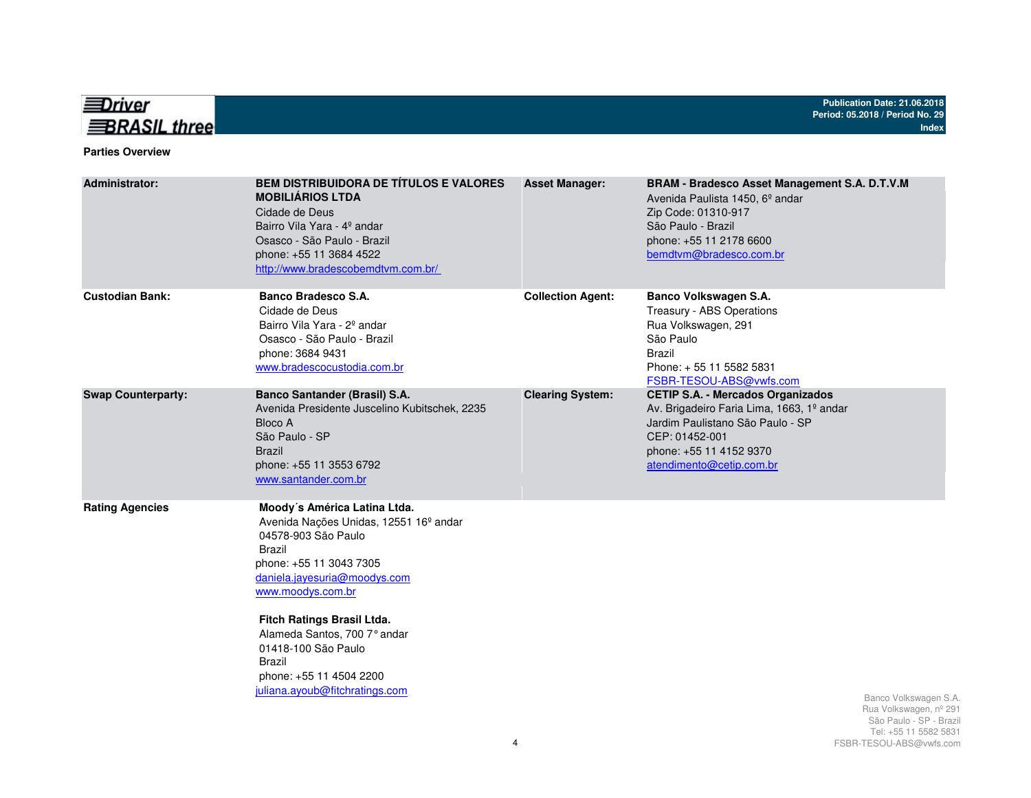

#### **Parties Overview**

| <b>Administrator:</b>     | <b>BEM DISTRIBUIDORA DE TÍTULOS E VALORES</b><br><b>MOBILIÁRIOS LTDA</b><br>Cidade de Deus<br>Bairro Vila Yara - 4º andar<br>Osasco - São Paulo - Brazil<br>phone: +55 11 3684 4522<br>http://www.bradescobemdtvm.com.br/                                                                                                                                              | <b>Asset Manager:</b>    | <b>BRAM - Bradesco Asset Management S.A. D.T.V.M</b><br>Avenida Paulista 1450, 6 <sup>°</sup> andar<br>Zip Code: 01310-917<br>São Paulo - Brazil<br>phone: +55 11 2178 6600<br>bemdtvm@bradesco.com.br |                                                                                                    |
|---------------------------|------------------------------------------------------------------------------------------------------------------------------------------------------------------------------------------------------------------------------------------------------------------------------------------------------------------------------------------------------------------------|--------------------------|--------------------------------------------------------------------------------------------------------------------------------------------------------------------------------------------------------|----------------------------------------------------------------------------------------------------|
| <b>Custodian Bank:</b>    | Banco Bradesco S.A.<br>Cidade de Deus<br>Bairro Vila Yara - 2 <sup>°</sup> andar<br>Osasco - São Paulo - Brazil<br>phone: 3684 9431<br>www.bradescocustodia.com.br                                                                                                                                                                                                     | <b>Collection Agent:</b> | Banco Volkswagen S.A.<br>Treasury - ABS Operations<br>Rua Volkswagen, 291<br>São Paulo<br><b>Brazil</b><br>Phone: +55 11 5582 5831<br>FSBR-TESOU-ABS@vwfs.com                                          |                                                                                                    |
| <b>Swap Counterparty:</b> | <b>Banco Santander (Brasil) S.A.</b><br>Avenida Presidente Juscelino Kubitschek, 2235<br>Bloco A<br>São Paulo - SP<br><b>Brazil</b><br>phone: +55 11 3553 6792<br>www.santander.com.br                                                                                                                                                                                 | <b>Clearing System:</b>  | <b>CETIP S.A. - Mercados Organizados</b><br>Av. Brigadeiro Faria Lima, 1663, 1º andar<br>Jardim Paulistano São Paulo - SP<br>CEP: 01452-001<br>phone: +55 11 4152 9370<br>atendimento@cetip.com.br     |                                                                                                    |
| <b>Rating Agencies</b>    | Moody's América Latina Ltda.<br>Avenida Nações Unidas, 12551 16 <sup>°</sup> andar<br>04578-903 São Paulo<br><b>Brazil</b><br>phone: +55 11 3043 7305<br>daniela.jayesuria@moodys.com<br>www.moodys.com.br<br>Fitch Ratings Brasil Ltda.<br>Alameda Santos, 700 7° andar<br>01418-100 São Paulo<br>Brazil<br>phone: +55 11 4504 2200<br>juliana.ayoub@fitchratings.com |                          |                                                                                                                                                                                                        | Banco Volkswagen S.A.<br>Rua Volkswagen, nº 291<br>São Paulo - SP - Brazil<br>Tel: 55 11 5582 5831 |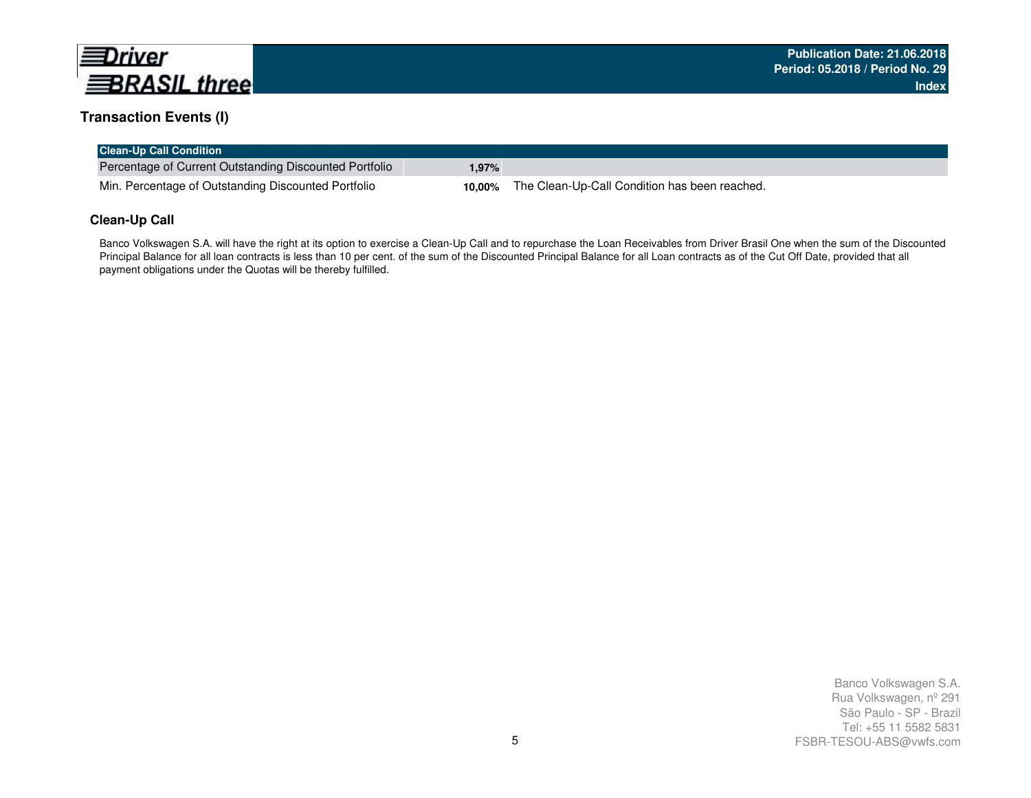

### **Transaction Events (I)**

| <b>Clean-Up Call Condition</b>                         |       |                                                      |
|--------------------------------------------------------|-------|------------------------------------------------------|
| Percentage of Current Outstanding Discounted Portfolio | 1.97% |                                                      |
| Min. Percentage of Outstanding Discounted Portfolio    |       | 10,00% The Clean-Up-Call Condition has been reached. |

#### **Clean-Up Call**

Banco Volkswagen S.A. will have the right at its option to exercise a Clean-Up Call and to repurchase the Loan Receivables from Driver Brasil One when the sum of the Discounted Principal Balance for all loan contracts is less than 10 per cent. of the sum of the Discounted Principal Balance for all Loan contracts as of the Cut Off Date, provided that all payment obligations under the Quotas will be thereby fulfilled.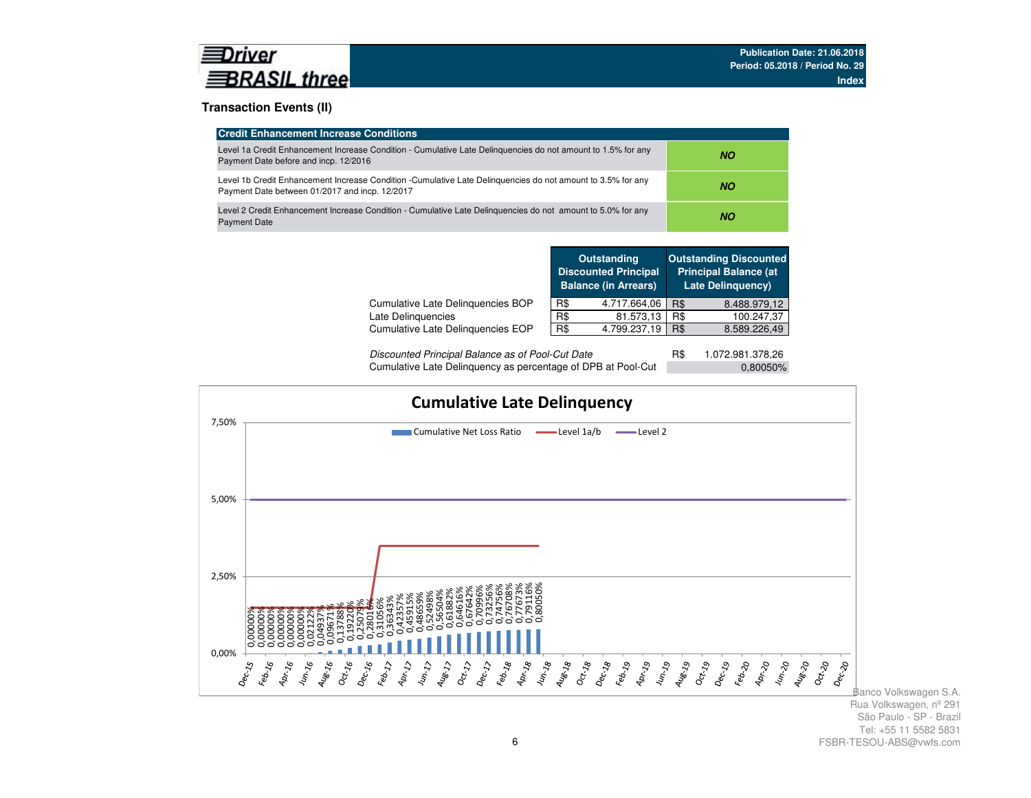#### **Transaction Events (II)**

| <b>Credit Enhancement Increase Conditions</b>                                                                                                                 |     |
|---------------------------------------------------------------------------------------------------------------------------------------------------------------|-----|
| Level 1a Credit Enhancement Increase Condition - Cumulative Late Delinguencies do not amount to 1.5% for any<br>Payment Date before and incp. 12/2016         | NO. |
| Level 1b Credit Enhancement Increase Condition -Cumulative Late Delinguencies do not amount to 3.5% for any<br>Payment Date between 01/2017 and incp. 12/2017 | NO. |
| Level 2 Credit Enhancement Increase Condition - Cumulative Late Delinguencies do not amount to 5.0% for any<br><b>Payment Date</b>                            | NO. |

|                                   |     | <b>Outstanding</b><br><b>Discounted Principal</b><br><b>Balance (in Arrears)</b> |            | <b>Outstanding Discounted</b><br><b>Principal Balance (at</b><br><b>Late Delinguency)</b> |  |
|-----------------------------------|-----|----------------------------------------------------------------------------------|------------|-------------------------------------------------------------------------------------------|--|
| Cumulative Late Delinguencies BOP | R\$ | 4.717.664,06                                                                     | <b>R\$</b> | 8.488.979,12                                                                              |  |
| Late Delinquencies                | R\$ | 81.573,13                                                                        | R\$        | 100.247,37                                                                                |  |
| Cumulative Late Delinguencies EOP | R\$ | 4.799.237,19                                                                     | R\$        | 8.589.226,49                                                                              |  |
|                                   |     |                                                                                  |            |                                                                                           |  |

| Discounted Principal Balance as of Pool-Cut Date             | 1.072.981.378.26 |  |
|--------------------------------------------------------------|------------------|--|
| Cumulative Late Delinquency as percentage of DPB at Pool-Cut | $0.80050\%$      |  |

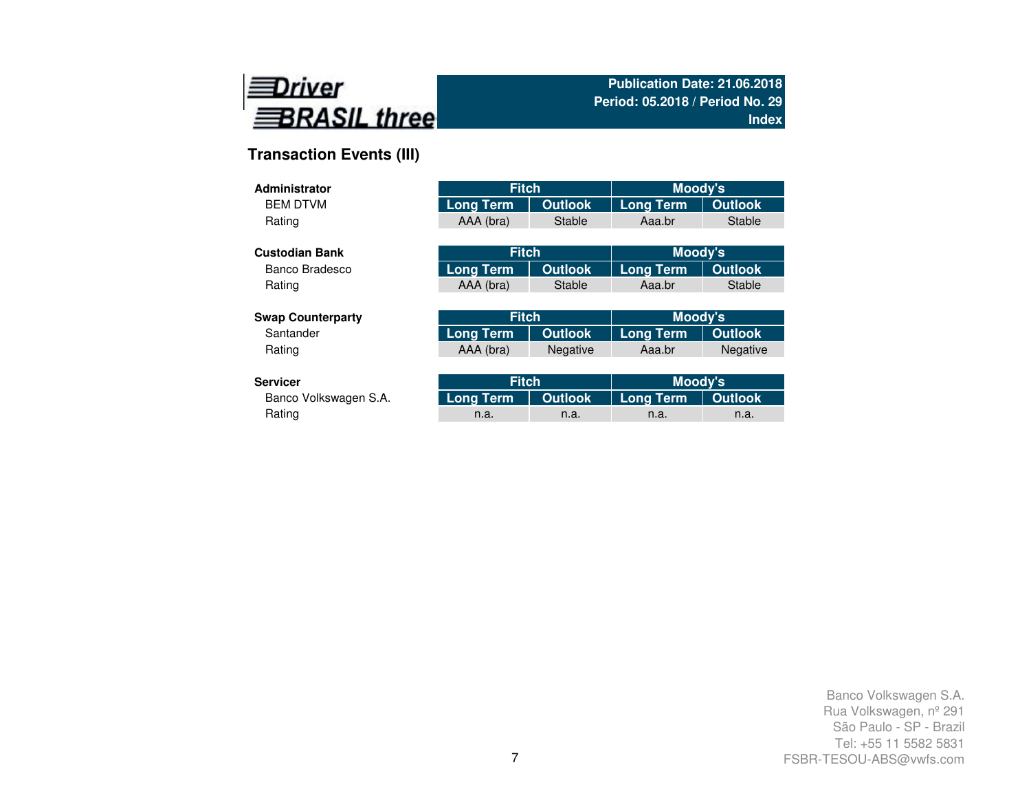

# **Transaction Events (III)**

| Administrator            | <b>Fitch</b>     |                | Moody's          |                 |
|--------------------------|------------------|----------------|------------------|-----------------|
| <b>BEM DTVM</b>          | <b>Long Term</b> | <b>Outlook</b> | <b>Long Term</b> | <b>Outlook</b>  |
| Rating                   | AAA (bra)        | <b>Stable</b>  | Aaa.br           | Stable          |
|                          |                  |                |                  |                 |
| <b>Custodian Bank</b>    | <b>Fitch</b>     |                | Moody's          |                 |
| Banco Bradesco           | Long Term        | <b>Outlook</b> | <b>Long Term</b> | <b>Outlook</b>  |
| Rating                   | AAA (bra)        | <b>Stable</b>  | Aaa.br           | Stable          |
|                          |                  |                |                  |                 |
| <b>Swap Counterparty</b> | <b>Fitch</b>     |                | Moody's          |                 |
| Santander                | <b>Long Term</b> | <b>Outlook</b> | <b>Long Term</b> | <b>Outlook</b>  |
| Rating                   | AAA (bra)        | Negative       | Aaa.br           | <b>Negative</b> |
|                          |                  |                |                  |                 |
| <b>Servicer</b>          | <b>Fitch</b>     |                | Moody's          |                 |
| Banco Volkswagen S.A.    | Long Term        | <b>Outlook</b> | <b>Long Term</b> | <b>Outlook</b>  |
| Rating                   | n.a.             | n.a.           | n.a.             | n.a.            |

Rating and the method of the method is a method in the method in the method in the method in  $n$  a. In the method in  $n$  a.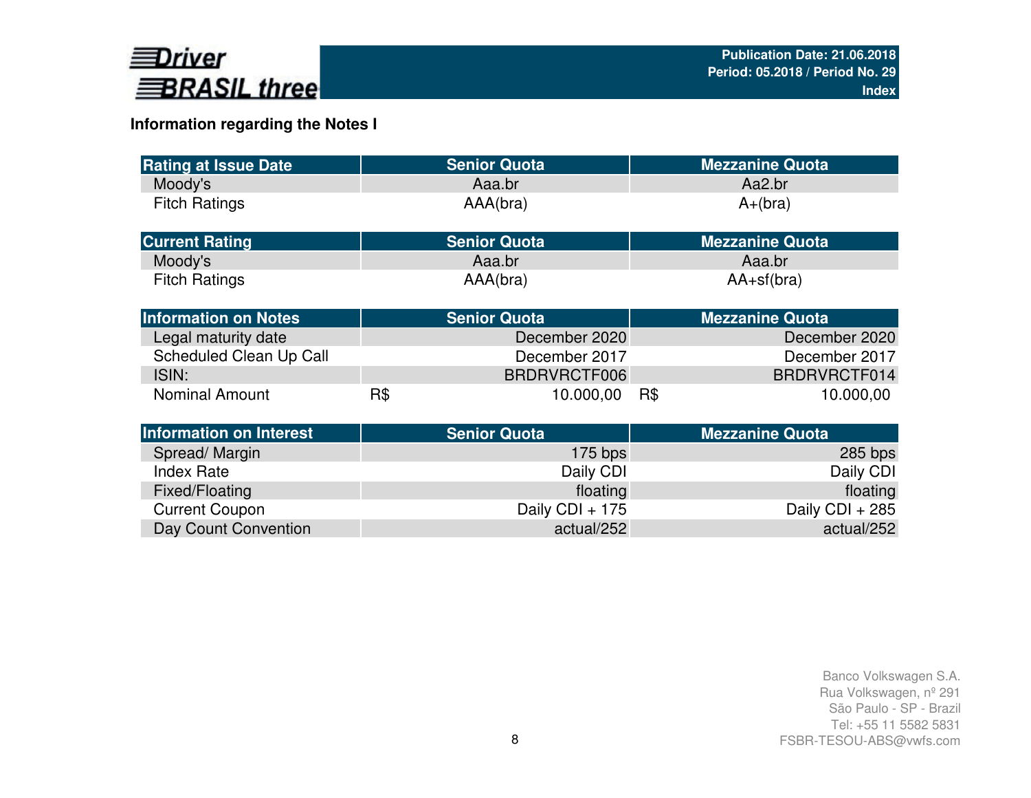

## **Information regarding the Notes I**

| <b>Rating at Issue Date</b>    |     | <b>Senior Quota</b> | <b>Mezzanine Quota</b> |
|--------------------------------|-----|---------------------|------------------------|
| Moody's                        |     | Aaa.br              | Aa2.br                 |
| <b>Fitch Ratings</b>           |     | AAA(bra)            | $A+(bra)$              |
| <b>Current Rating</b>          |     | <b>Senior Quota</b> | <b>Mezzanine Quota</b> |
| Moody's                        |     | Aaa.br              | Aaa.br                 |
| <b>Fitch Ratings</b>           |     | AAA(bra)            | $AA+sf(bra)$           |
| <b>Information on Notes</b>    |     | <b>Senior Quota</b> | <b>Mezzanine Quota</b> |
| Legal maturity date            |     | December 2020       | December 2020          |
| Scheduled Clean Up Call        |     | December 2017       | December 2017          |
| ISIN:                          |     | BRDRVRCTF006        | BRDRVRCTF014           |
| <b>Nominal Amount</b>          | R\$ | 10.000,00           | R\$<br>10.000,00       |
| <b>Information on Interest</b> |     | <b>Senior Quota</b> | <b>Mezzanine Quota</b> |
| Spread/Margin                  |     | $175$ bps           | 285 bps                |
| <b>Index Rate</b>              |     | Daily CDI           | Daily CDI              |
| Fixed/Floating                 |     | floating            | floating               |
| <b>Current Coupon</b>          |     | Daily CDI + 175     | Daily CDI + 285        |
| Day Count Convention           |     | actual/252          | actual/252             |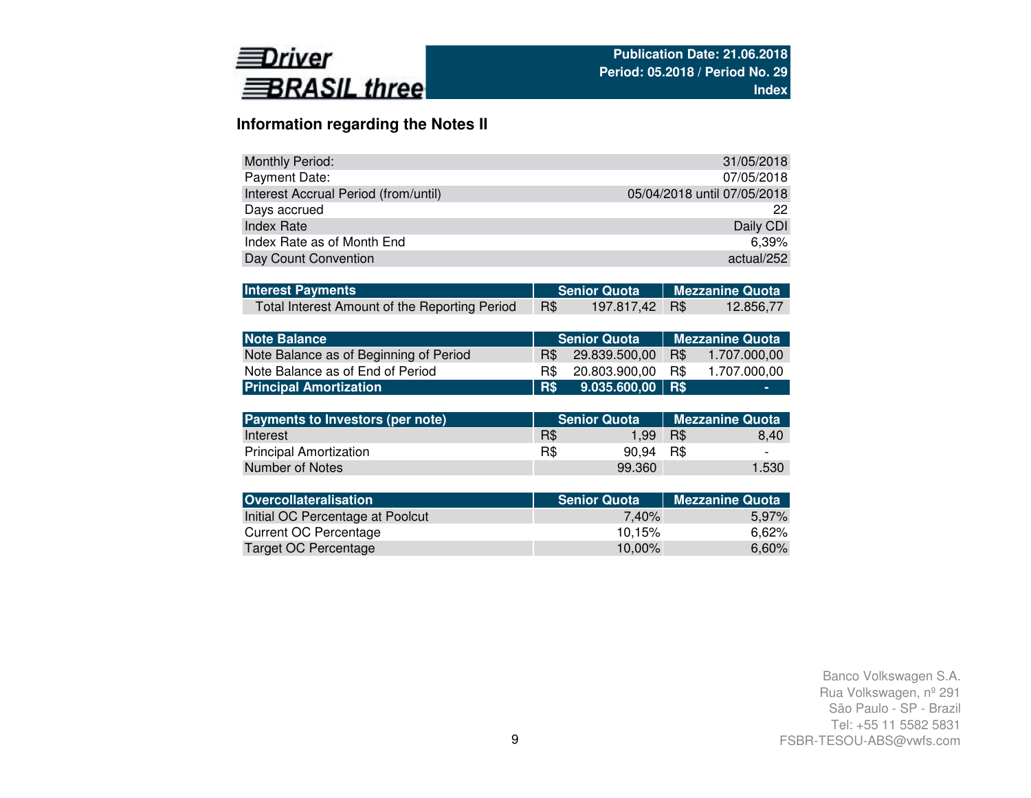

## **Information regarding the Notes II**

| <b>Monthly Period:</b>               | 31/05/2018                  |
|--------------------------------------|-----------------------------|
| Payment Date:                        | 07/05/2018                  |
| Interest Accrual Period (from/until) | 05/04/2018 until 07/05/2018 |
| Days accrued                         | 22                          |
| <b>Index Rate</b>                    | Daily CDI                   |
| Index Rate as of Month End           | 6.39%                       |
| Day Count Convention                 | actual/252                  |

| <b>Interest Payments</b>                      |     | Senior Quota   Mezzanine Quota |           |
|-----------------------------------------------|-----|--------------------------------|-----------|
| Total Interest Amount of the Reporting Period | R\$ | 197.817,42 R\$                 | 12.856,77 |

| <b>Note Balance</b>                    |      | <b>Senior Quota</b> | <b>Nezzanine Quota</b> |              |  |  |  |
|----------------------------------------|------|---------------------|------------------------|--------------|--|--|--|
| Note Balance as of Beginning of Period | R\$  | 29.839.500.00       | R\$                    | 1.707.000.00 |  |  |  |
| Note Balance as of End of Period       | B\$. | 20.803.900.00       | R\$                    | 1.707.000.00 |  |  |  |
| <b>Principal Amortization</b>          | R\$  | $9.035.600,00$ R\$  |                        | -            |  |  |  |

| Payments to Investors (per note) |     | Senior Quota | Mezzanine Quota |                          |  |  |
|----------------------------------|-----|--------------|-----------------|--------------------------|--|--|
| Interest                         | R\$ | 1.99         | R\$             | 8.40                     |  |  |
| <b>Principal Amortization</b>    | R\$ | 90.94 R\$    |                 | $\overline{\phantom{0}}$ |  |  |
| Number of Notes                  |     | 99.360       |                 | 1.530                    |  |  |

| <b>Senior Quota</b> | <b>Mezzanine Quota</b> |
|---------------------|------------------------|
| 7.40%               | 5.97%                  |
| 10.15%              | 6.62%                  |
| 10.00%              | 6,60%                  |
|                     |                        |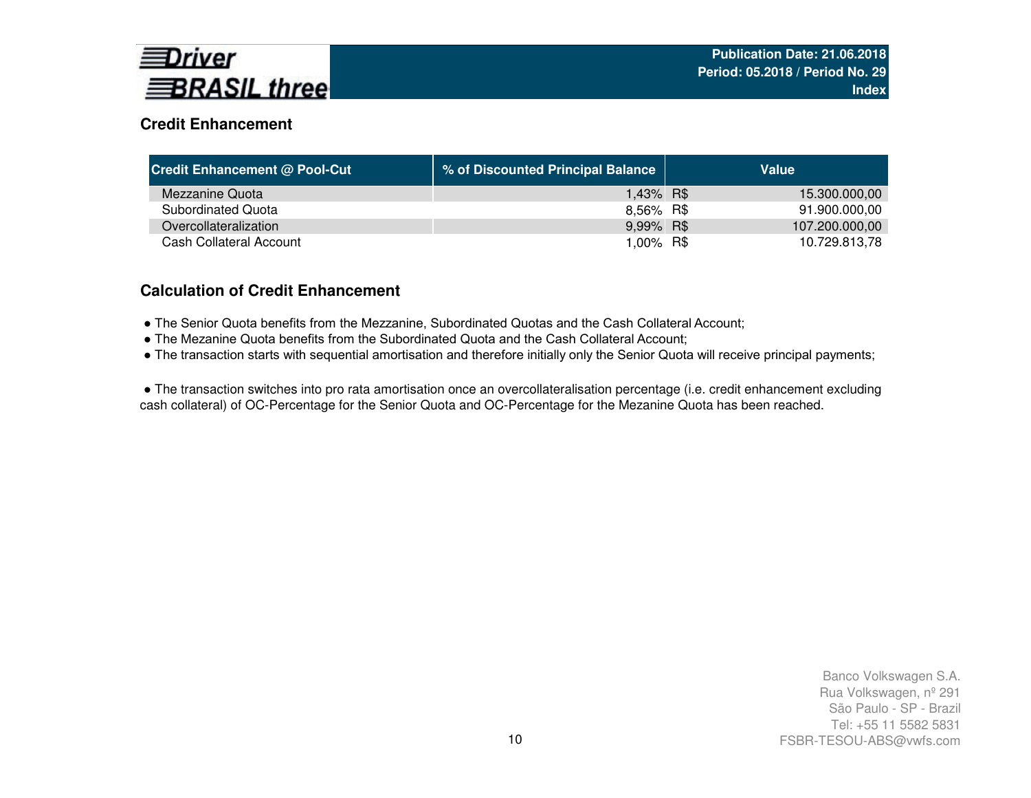

## **Credit Enhancement**

| <b>Credit Enhancement @ Pool-Cut</b> | % of Discounted Principal Balance | Value          |
|--------------------------------------|-----------------------------------|----------------|
| Mezzanine Quota                      | 1,43% R\$                         | 15.300.000,00  |
| Subordinated Quota                   | 8,56% R\$                         | 91.900.000,00  |
| Overcollateralization                | 9,99% R\$                         | 107.200.000,00 |
| Cash Collateral Account              | 1,00% R\$                         | 10.729.813,78  |

### **Calculation of Credit Enhancement**

- The Senior Quota benefits from the Mezzanine, Subordinated Quotas and the Cash Collateral Account;
- The Mezanine Quota benefits from the Subordinated Quota and the Cash Collateral Account;
- The transaction starts with sequential amortisation and therefore initially only the Senior Quota will receive principal payments;

● The transaction switches into pro rata amortisation once an overcollateralisation percentage (i.e. credit enhancement excluding cash collateral) of OC-Percentage for the Senior Quota and OC-Percentage for the Mezanine Quota has been reached.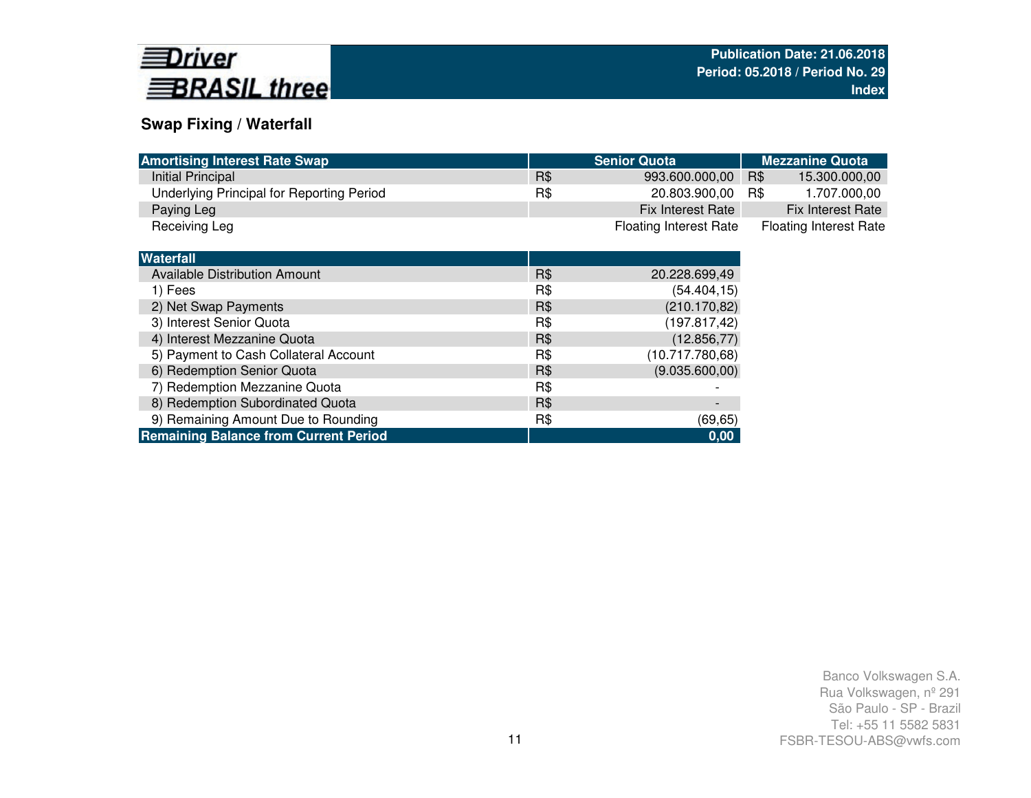

### **Swap Fixing / Waterfall**

6) Redemption Senior Quota7) Redemption Mezzanine Quota

5) Payment to Cash Collateral Account

**Remaining Balance from Current Period**

| <b>Amortising Interest Rate Swap</b>      |     | <b>Senior Quota</b>           | <b>Mezzanine Quota</b>        |
|-------------------------------------------|-----|-------------------------------|-------------------------------|
| <b>Initial Principal</b>                  | R\$ | 993.600.000,00                | R\$<br>15.300.000,00          |
| Underlying Principal for Reporting Period | R\$ | 20.803.900,00                 | R\$<br>1.707.000,00           |
| Paying Leg                                |     | Fix Interest Rate             | Fix Interest Rate             |
| Receiving Leg                             |     | <b>Floating Interest Rate</b> | <b>Floating Interest Rate</b> |
|                                           |     |                               |                               |
| <b>Waterfall</b>                          |     |                               |                               |
| <b>Available Distribution Amount</b>      | R\$ | 20.228.699,49                 |                               |
| 1) Fees                                   | R\$ | (54.404, 15)                  |                               |
| 2) Net Swap Payments                      | R\$ | (210.170, 82)                 |                               |
| 3) Interest Senior Quota                  | R\$ | (197.817,42)                  |                               |
| 4) Interest Mezzanine Quota               | R\$ | (12.856, 77)                  |                               |

 $R$$  (9.035.600,00)

R\$ (69,65)

**0,00**

Post Compution Mezzanine Quota<br>
8) Redemption Subordinated Quota<br>
8) Redemption Subordinated Quota 9) Remaining Amount Due to Rounding and the state of R\$ (69,65)

R\$ (12.856,77)<br>R\$ (10.717.780,68)

R\$ (10.717.780,68)<br>R\$ (9.035.600,00)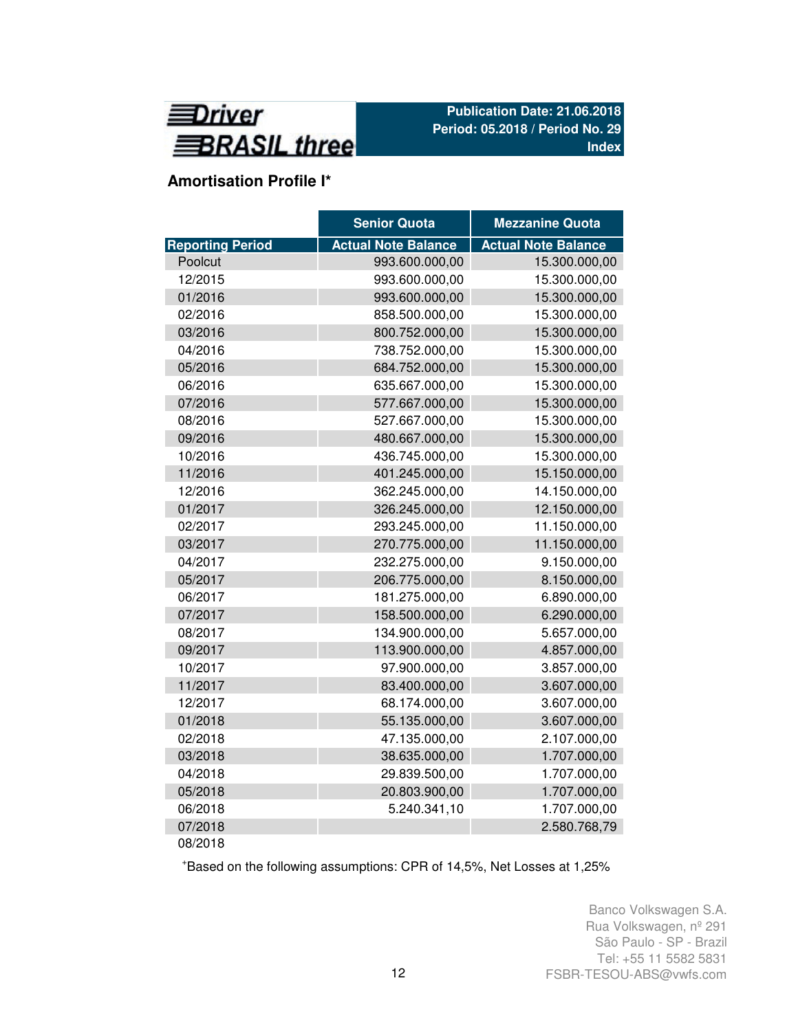

# **Amortisation Profile I\***

|                         | <b>Senior Quota</b>        | <b>Mezzanine Quota</b>     |
|-------------------------|----------------------------|----------------------------|
| <b>Reporting Period</b> | <b>Actual Note Balance</b> | <b>Actual Note Balance</b> |
| Poolcut                 | 993.600.000,00             | 15.300.000,00              |
| 12/2015                 | 993.600.000,00             | 15.300.000,00              |
| 01/2016                 | 993.600.000,00             | 15.300.000,00              |
| 02/2016                 | 858.500.000,00             | 15.300.000,00              |
| 03/2016                 | 800.752.000,00             | 15.300.000,00              |
| 04/2016                 | 738.752.000,00             | 15.300.000,00              |
| 05/2016                 | 684.752.000,00             | 15.300.000,00              |
| 06/2016                 | 635.667.000,00             | 15.300.000,00              |
| 07/2016                 | 577.667.000,00             | 15.300.000,00              |
| 08/2016                 | 527.667.000,00             | 15.300.000,00              |
| 09/2016                 | 480.667.000,00             | 15.300.000,00              |
| 10/2016                 | 436.745.000,00             | 15.300.000,00              |
| 11/2016                 | 401.245.000,00             | 15.150.000,00              |
| 12/2016                 | 362.245.000,00             | 14.150.000,00              |
| 01/2017                 | 326.245.000,00             | 12.150.000,00              |
| 02/2017                 | 293.245.000,00             | 11.150.000,00              |
| 03/2017                 | 270.775.000,00             | 11.150.000,00              |
| 04/2017                 | 232.275.000,00             | 9.150.000,00               |
| 05/2017                 | 206.775.000,00             | 8.150.000,00               |
| 06/2017                 | 181.275.000,00             | 6.890.000,00               |
| 07/2017                 | 158.500.000,00             | 6.290.000,00               |
| 08/2017                 | 134.900.000,00             | 5.657.000,00               |
| 09/2017                 | 113.900.000,00             | 4.857.000,00               |
| 10/2017                 | 97.900.000,00              | 3.857.000,00               |
| 11/2017                 | 83.400.000,00              | 3.607.000,00               |
| 12/2017                 | 68.174.000,00              | 3.607.000,00               |
| 01/2018                 | 55.135.000,00              | 3.607.000,00               |
| 02/2018                 | 47.135.000,00              | 2.107.000,00               |
| 03/2018                 | 38.635.000,00              | 1.707.000,00               |
| 04/2018                 | 29.839.500,00              | 1.707.000,00               |
| 05/2018                 | 20.803.900,00              | 1.707.000,00               |
| 06/2018                 | 5.240.341,10               | 1.707.000,00               |
| 07/2018                 |                            | 2.580.768,79               |
| 08/2018                 |                            |                            |

<sup>+</sup>Based on the following assumptions: CPR of 14,5%, Net Losses at 1,25%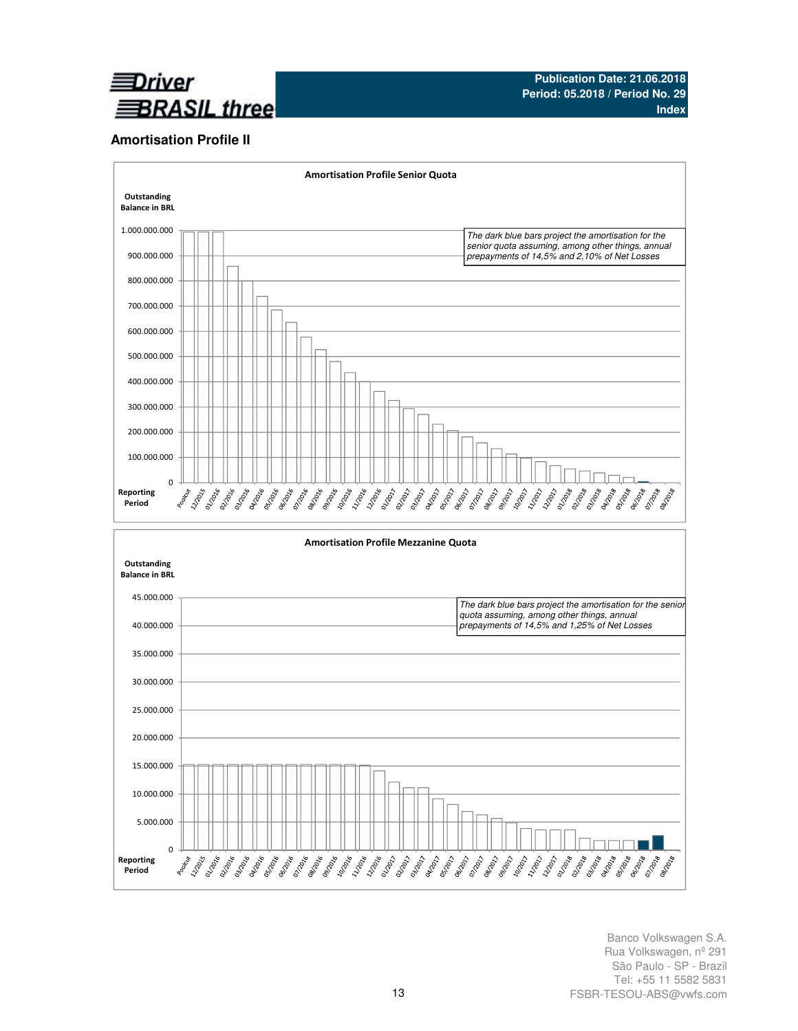

#### **Amortisation Profile II**

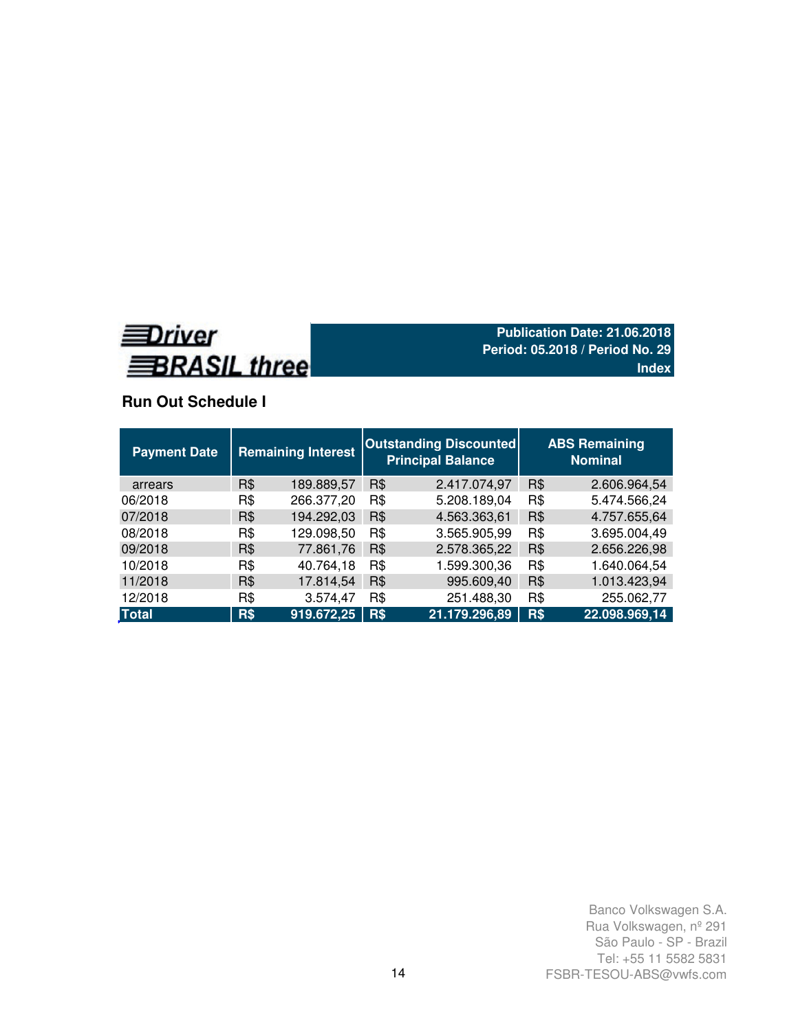

## **Run Out Schedule I**

| <b>Payment Date</b> | <b>Remaining Interest</b> |            |     | <b>Outstanding Discounted</b><br><b>Principal Balance</b> |     | <b>ABS Remaining</b><br><b>Nominal</b> |
|---------------------|---------------------------|------------|-----|-----------------------------------------------------------|-----|----------------------------------------|
| arrears             | R\$                       | 189.889,57 | R\$ | 2.417.074,97                                              | R\$ | 2.606.964,54                           |
| 06/2018             | R\$                       | 266.377,20 | R\$ | 5.208.189,04                                              | R\$ | 5.474.566,24                           |
| 07/2018             | R\$                       | 194.292,03 | R\$ | 4.563.363,61                                              | R\$ | 4.757.655,64                           |
| 08/2018             | R\$                       | 129.098,50 | R\$ | 3.565.905,99                                              | R\$ | 3.695.004,49                           |
| 09/2018             | R\$                       | 77.861,76  | R\$ | 2.578.365,22                                              | R\$ | 2.656.226,98                           |
| 10/2018             | R\$                       | 40.764,18  | R\$ | 1.599.300,36                                              | R\$ | 1.640.064,54                           |
| 11/2018             | R\$                       | 17.814,54  | R\$ | 995.609,40                                                | R\$ | 1.013.423,94                           |
| 12/2018             | R\$                       | 3.574,47   | R\$ | 251.488,30                                                | R\$ | 255.062,77                             |
| <b>Total</b>        | R\$                       | 919.672,25 | R\$ | 21.179.296,89                                             | R\$ | 22.098.969,14                          |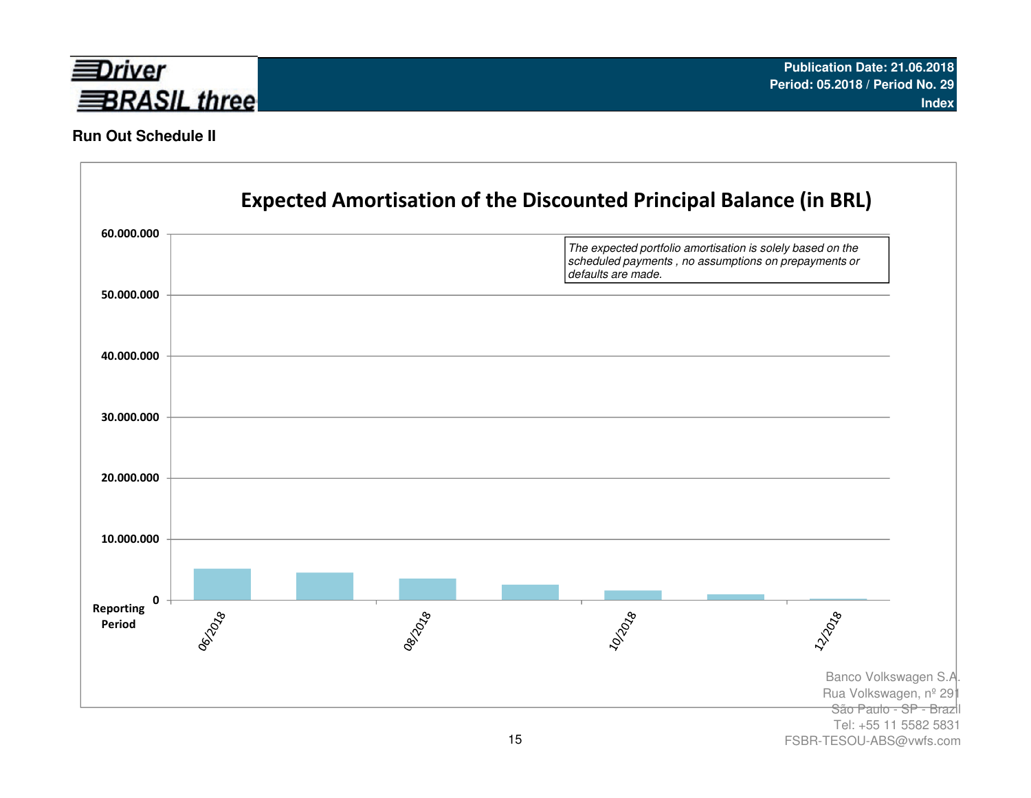

### **Run Out Schedule II**

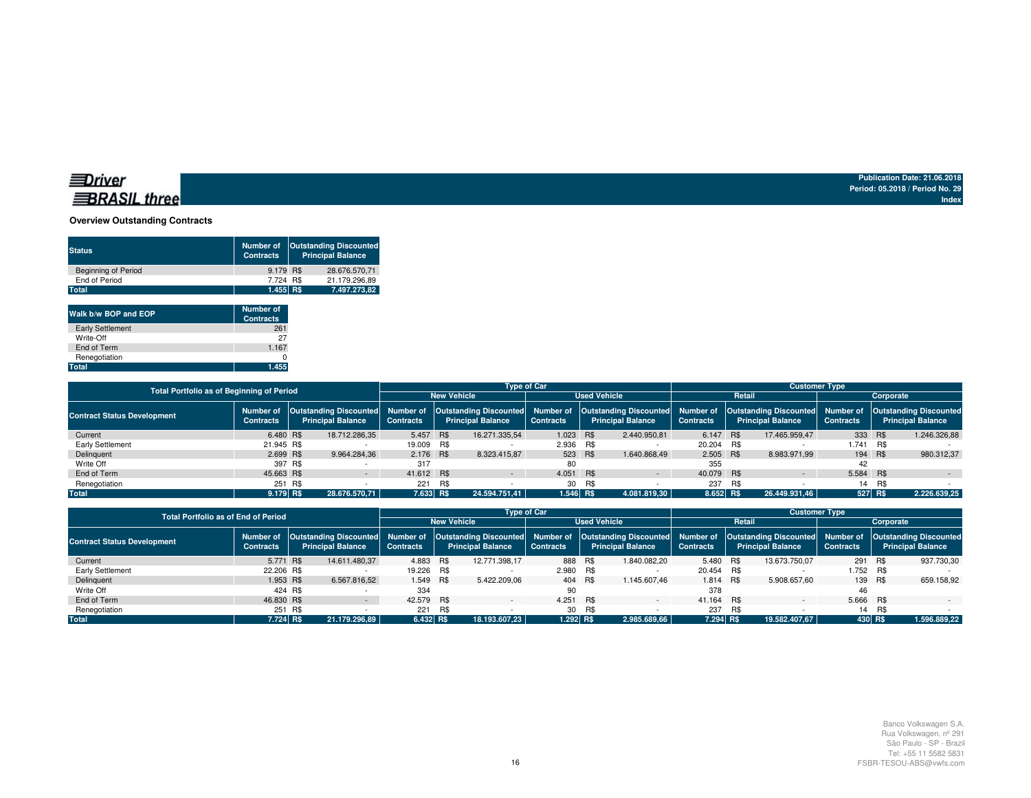### **BRASIL** three

**Publication Date: 21.06.2018 Period: 05.2018 / Period No. 29Index**

#### **Overview Outstanding Contracts**

| <b>Status</b>              | <b>Number of</b><br><b>Contracts</b> | <b>Outstanding Discounted</b><br><b>Principal Balance</b> |
|----------------------------|--------------------------------------|-----------------------------------------------------------|
| <b>Beginning of Period</b> | 9.179 R\$                            | 28.676.570.71                                             |
| End of Period              | 7.724 R\$                            | 21.179.296.89                                             |
| Total                      | 1.455 R\$                            | 7.497.273.82                                              |

| Walk b/w BOP and EOP    | <b>Number of</b><br><b>Contracts</b> |
|-------------------------|--------------------------------------|
| <b>Early Settlement</b> | 261                                  |
| Write-Off               | 27                                   |
| End of Term             | 1.167                                |
| Renegotiation           |                                      |
| Total                   | 1.455                                |

| Total Portfolio as of Beginning of Period |                  |     |                                                                        |                  |     |                                                           | <b>Type of Car</b>  |        |                          | <b>Customer Type</b> |                                                                                                              |               |                          |         |                  |  |                          |
|-------------------------------------------|------------------|-----|------------------------------------------------------------------------|------------------|-----|-----------------------------------------------------------|---------------------|--------|--------------------------|----------------------|--------------------------------------------------------------------------------------------------------------|---------------|--------------------------|---------|------------------|--|--------------------------|
|                                           |                  |     |                                                                        |                  |     | <b>New Vehicle</b>                                        | <b>Used Vehicle</b> |        |                          |                      | Retail                                                                                                       |               | Corporate                |         |                  |  |                          |
| <b>Contract Status Development</b>        | <b>Contracts</b> |     | Number of Outstanding Discounted Number of<br><b>Principal Balance</b> | <b>Contracts</b> |     | <b>Outstanding Discounted</b><br><b>Principal Balance</b> | <b>Contracts</b>    |        | <b>Principal Balance</b> | <b>Contracts</b>     | Number of   Outstanding Discounted   Number of   Outstanding Discounted   Number of   Outstanding Discounted |               | <b>Principal Balance</b> |         | <b>Contracts</b> |  | <b>Principal Balance</b> |
| Current                                   | 6.480 R\$        |     | 18.712.286.35                                                          | 5.457 R\$        |     | 16.271.335.54                                             | 1.023 R\$           |        | 2.440.950,81             | 6.147 R\$            |                                                                                                              | 17.465.959.47 | 333 R\$                  |         | 1.246.326.88     |  |                          |
| Early Settlement                          | 21.945 R\$       |     |                                                                        | 19.009 R\$       |     |                                                           | 2.936 R\$           |        |                          | 20.204 R\$           |                                                                                                              |               | 1.741                    | R\$     |                  |  |                          |
| Delinquent                                | 2.699 R\$        |     | 9.964.284.36                                                           | 2.176 R\$        |     | 8.323.415.87                                              | 523 R\$             |        | 1.640.868.49             | 2.505 R\$            |                                                                                                              | 8.983.971.99  | 194 R\$                  |         | 980.312.37       |  |                          |
| Write Off                                 | 397 R\$          |     |                                                                        | 317              |     |                                                           | 80                  |        |                          | 355                  |                                                                                                              |               | 42                       |         |                  |  |                          |
| End of Term                               | 45.663 R\$       |     |                                                                        | 41.612 R\$       |     | $\sim$                                                    | 4.051 R\$           |        | $\sim$                   | 40.079 R\$           |                                                                                                              | $\sim$        | 5.584 R\$                |         | $\sim$           |  |                          |
| Renegotiation                             | 251              | R\$ |                                                                        | 221              | R\$ |                                                           |                     | 30 R\$ |                          | 237                  |                                                                                                              |               | 14                       | R\$     |                  |  |                          |
| <b>Total</b>                              | $9.179$ RS       |     | 28.676.570.71                                                          | 7.633 R\$        |     | 24.594.751.41                                             | 1.546 R\$           |        | 4.081.819.30             | 8.652 R\$            |                                                                                                              | 26.449.931.46 |                          | 527 R\$ | 2.226.639,25     |  |                          |

| <b>Total Portfolio as of End of Period</b> |                               |                                                                                                              |               |            |     |                    | <b>Type of Car</b>       |         |                          | <b>Customer Type</b>                                                                                                                                         |        |               |           |                  |                          |  |
|--------------------------------------------|-------------------------------|--------------------------------------------------------------------------------------------------------------|---------------|------------|-----|--------------------|--------------------------|---------|--------------------------|--------------------------------------------------------------------------------------------------------------------------------------------------------------|--------|---------------|-----------|------------------|--------------------------|--|
|                                            |                               |                                                                                                              |               |            |     | <b>New Vehicle</b> | <b>Used Vehicle</b>      |         |                          |                                                                                                                                                              | Retail |               | Corporate |                  |                          |  |
| <b>Contract Status Development</b>         | Number of<br><b>Contracts</b> | Outstanding Discounted Number of<br><b>Principal Balance</b><br><b>Principal Balance</b><br><b>Contracts</b> |               |            |     | <b>Contracts</b>   | <b>Principal Balance</b> |         | <b>Contracts</b>         | Outstanding Discounted  Number of  Outstanding Discounted  Number of  Outstanding Discounted  Number of  Outstanding Discounted <br><b>Principal Balance</b> |        |               |           | <b>Contracts</b> | <b>Principal Balance</b> |  |
| Current                                    | 5.771 R\$                     |                                                                                                              | 14.611.480.37 | 4.883 R\$  |     | 12.771.398.17      |                          | 888 R\$ | 1.840.082.20             | 5.480                                                                                                                                                        | R\$    | 13.673.750.07 | 291 R\$   |                  | 937.730,30               |  |
| Early Settlement                           | 22.206 R\$                    |                                                                                                              |               | 19.226 R\$ |     |                    | 2.980 R\$                |         |                          | 20.454 R\$                                                                                                                                                   |        |               | 1.752 R\$ |                  |                          |  |
| Delinquent                                 | 1.953 R\$                     |                                                                                                              | 6.567.816.52  | 1.549 R\$  |     | 5.422.209.06       |                          | 404 R\$ | 1.145.607.46             | 1.814 R\$                                                                                                                                                    |        | 5.908.657.60  | 139 R\$   |                  | 659.158,92               |  |
| Write Off                                  |                               | 424 R\$                                                                                                      |               | 334        |     |                    | 90                       |         |                          | 378                                                                                                                                                          |        |               | 46        |                  |                          |  |
| End of Term                                | 46,830 R\$                    |                                                                                                              |               | 42.579 R\$ |     |                    | 4.251                    | R\$     | $\overline{\phantom{0}}$ | 41.164 R\$                                                                                                                                                   |        |               | 5.666 R\$ |                  |                          |  |
| Renegotiation                              |                               | 251 R\$                                                                                                      |               | 221        | R\$ |                    |                          | 30 R\$  |                          | 237                                                                                                                                                          | R\$    |               |           | 14 R\$           |                          |  |
| <b>Total</b>                               | 7.724 RS                      |                                                                                                              | 21.179.296.89 | 6.432 R\$  |     | 18.193.607.23      | 1.292 R\$                |         | 2.985.689.66             | 7.294 R\$                                                                                                                                                    |        | 19.582.407.67 | 430 R\$   |                  | 1.596.889,22             |  |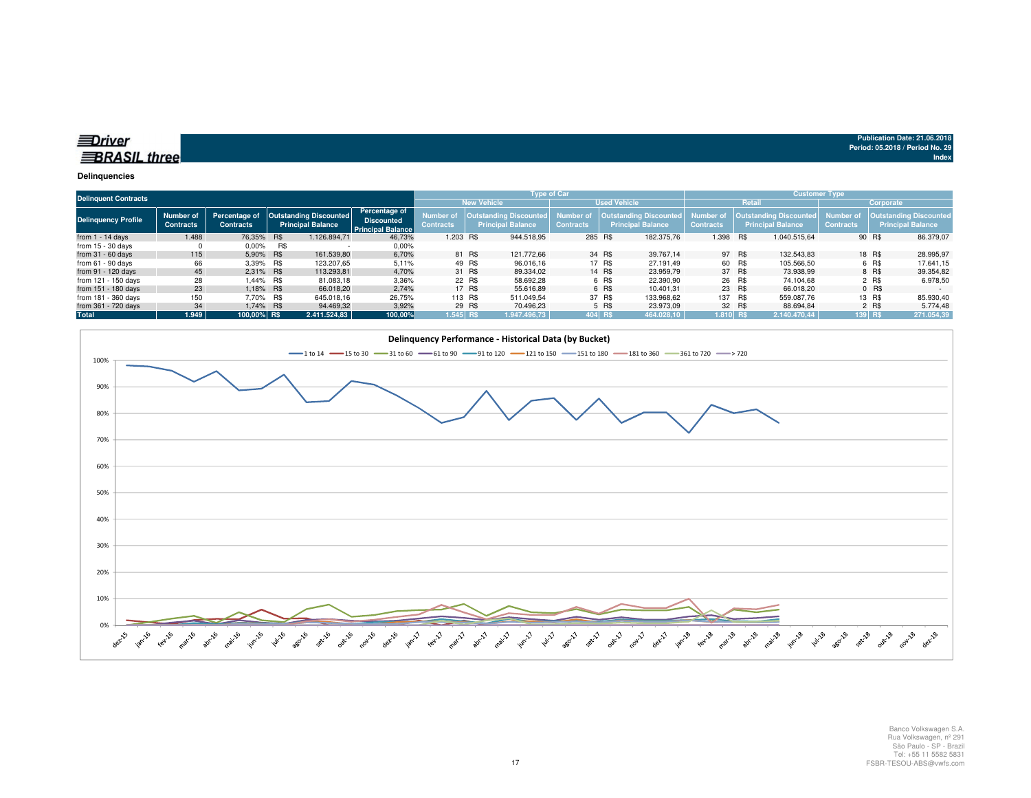| ≡Driver             |  |  |
|---------------------|--|--|
|                     |  |  |
|                     |  |  |
| <b>BRASIL three</b> |  |  |
|                     |  |  |

#### **Delinquencies**

| <b>Delinquent Contracts</b> |                               |                                   |            |                                                           |                                                                       |                              | <b>Type of Car</b> |                                                           |                              |        | <b>Customer Type</b>                        |                               |               |                                                    |                               |           |                                                    |
|-----------------------------|-------------------------------|-----------------------------------|------------|-----------------------------------------------------------|-----------------------------------------------------------------------|------------------------------|--------------------|-----------------------------------------------------------|------------------------------|--------|---------------------------------------------|-------------------------------|---------------|----------------------------------------------------|-------------------------------|-----------|----------------------------------------------------|
|                             |                               |                                   |            |                                                           |                                                                       |                              |                    | <b>New Vehicle</b>                                        | <b>Used Vehicle</b>          |        |                                             |                               | <b>Retail</b> |                                                    | Corporate                     |           |                                                    |
| <b>Delinquency Profile</b>  | Number of<br><b>Contracts</b> | Percentage of<br><b>Contracts</b> |            | <b>Outstanding Discounted</b><br><b>Principal Balance</b> | <b>Percentage of</b><br><b>Discounted</b><br><b>Principal Balance</b> | Number o<br><b>Contracts</b> |                    | <b>Outstanding Discounted</b><br><b>Principal Balance</b> | Number o<br><b>Contracts</b> |        | Outstanding Discounted<br>Principal Balance | Number of<br><b>Contracts</b> |               | Outstanding Discounted<br><b>Principal Balance</b> | Number of<br><b>Contracts</b> |           | <b>Outstanding Discounted</b><br>Principal Balance |
| from $1 - 14$ days          | 1.488                         | 76.35%                            | <b>R\$</b> | 1.126.894.71                                              | 46,73%                                                                | 1.203 R\$                    |                    | 944.518.95                                                | 285 R\$                      |        | 182,375.76                                  | 1.398                         | R\$           | 1.040.515.64                                       |                               | 90 R\$    | 86.379,07                                          |
| from $15 - 30$ days         |                               | 0.00%                             | R\$        |                                                           | $0.00\%$                                                              |                              |                    |                                                           |                              |        |                                             |                               |               |                                                    |                               |           |                                                    |
| from $31 - 60$ days         | 115                           | 5,90% R\$                         |            | 161.539.80                                                | 6,70%                                                                 |                              | 81 R\$             | 121.772.66                                                |                              | 34 R\$ | 39.767.14                                   |                               | 97 R\$        | 132.543.83                                         |                               | 18 R\$    | 28.995,97                                          |
| from $61 - 90$ days         | 66                            | 3,39% R\$                         |            | 123.207.65                                                | 5,11%                                                                 |                              | 49 R\$             | 96.016.16                                                 |                              | 17 R\$ | 27.191.49                                   |                               | 60 R\$        | 105.566.50                                         |                               | 6 R\$     | 17.641.15                                          |
| from 91 - 120 days          | 45                            | 2.31% R\$                         |            | 113.293.81                                                | 4,70%                                                                 |                              | 31 R\$             | 89.334.02                                                 |                              | 14 R\$ | 23.959.79                                   |                               | 37 R\$        | 73.938.99                                          |                               | 8 R\$     | 39.354,82                                          |
| from 121 - 150 days         | 28                            | 1.44% R\$                         |            | 81.083,18                                                 | 3,36%                                                                 |                              | 22 R\$             | 58.692,28                                                 |                              | 6 R\$  | 22.390,90                                   |                               | 26 R\$        | 74.104.68                                          |                               | 2 R\$     | 6.978,50                                           |
| from 151 - 180 days         | 23                            | 1.18% R\$                         |            | 66.018.20                                                 | 2.74%                                                                 |                              | 17 R\$             | 55.616.89                                                 |                              | 6 R\$  | 10.401.31                                   |                               | 23 R\$        | 66.018.20                                          |                               | $0$ R\$   | <b>CONTRACTOR</b>                                  |
| from 181 - 360 days         | 150                           | 7.70% R\$                         |            | 645.018,16                                                | 26,75%                                                                |                              | 113 R\$            | 511.049.54                                                |                              | 37 R\$ | 133.968,62                                  | 137 R\$                       |               | 559.087.76                                         |                               | 13 R\$    | 85.930,40                                          |
| from 361 - 720 days         | 34                            | 1,74% R\$                         |            | 94.469,32                                                 | 3,92%                                                                 |                              | 29 R\$             | 70.496.23                                                 |                              | 5 R\$  | 23.973.09                                   |                               | 32 R\$        | 88.694.84                                          |                               | 2 R\$     | 5.774,48                                           |
| <b>Total</b>                | 1.949                         | 100.00% R\$                       |            | 2.411.524.83                                              | 100,00%                                                               | $1.545$ R\$                  |                    | 1.947.496,73                                              | 404 R\$                      |        | 464.028.10                                  | $1.810$ R\$                   |               | 2.140.470.44                                       |                               | $139$ R\$ | 271.054,39                                         |

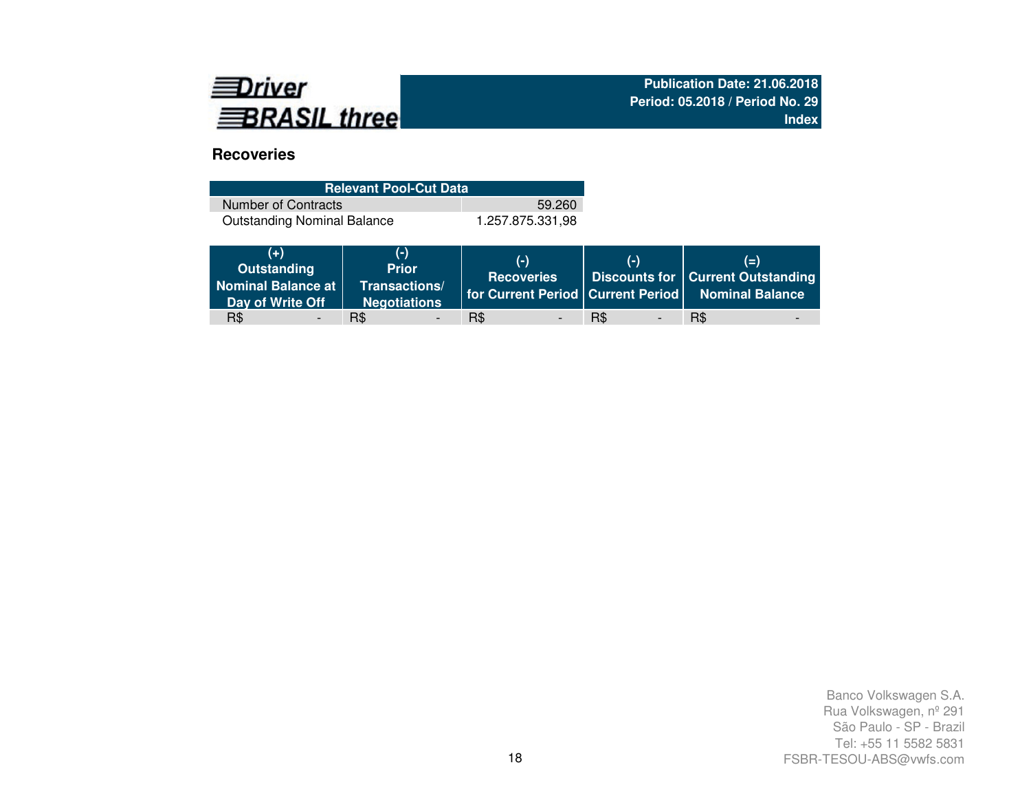

# **Recoveries**

| <b>Relevant Pool-Cut Data</b>      |                  |  |  |  |  |  |  |  |  |  |
|------------------------------------|------------------|--|--|--|--|--|--|--|--|--|
| Number of Contracts                | 59.260           |  |  |  |  |  |  |  |  |  |
| <b>Outstanding Nominal Balance</b> | 1.257.875.331.98 |  |  |  |  |  |  |  |  |  |

| $(+)$<br>Outstanding<br>Nominal Balance at  <br>Day of Write Off | $(-)$<br><b>Prior</b><br>Transactions/<br><b>Negotiations</b> | $(-)$<br><b>Recoveries</b> | $(-)$    | $(=\)$<br>Discounts for   Current Outstanding<br>   for Current Period   Current Period   Nominal Balance |
|------------------------------------------------------------------|---------------------------------------------------------------|----------------------------|----------|-----------------------------------------------------------------------------------------------------------|
| R\$                                                              | R\$                                                           | R\$                        | R\$<br>- | R\$                                                                                                       |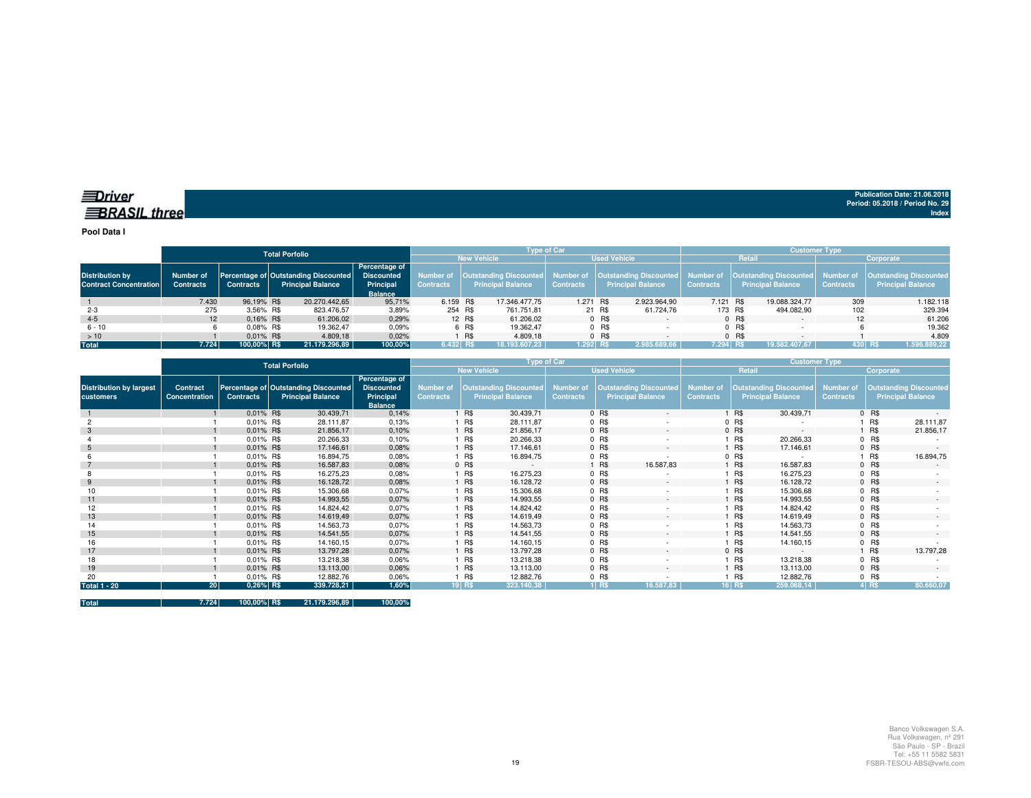**Pool Data I**

|                                                         |                               |                  | <b>Total Porfolio</b> |                                                                  |                                                                   |            |                                                                                                       |                    | <b>Tvpe of Car</b> |        |                          | <b>Customer Type</b> |         |                                                                  |                               |                                                           |  |  |
|---------------------------------------------------------|-------------------------------|------------------|-----------------------|------------------------------------------------------------------|-------------------------------------------------------------------|------------|-------------------------------------------------------------------------------------------------------|--------------------|--------------------|--------|--------------------------|----------------------|---------|------------------------------------------------------------------|-------------------------------|-----------------------------------------------------------|--|--|
|                                                         |                               |                  |                       |                                                                  |                                                                   |            |                                                                                                       | <b>New Vehicle</b> |                    |        | <b>Used Vehicle</b>      |                      | Retail  |                                                                  | Corporate                     |                                                           |  |  |
| <b>Distribution by</b><br><b>Contract Concentration</b> | Number of<br><b>Contracts</b> | <b>Contracts</b> |                       | Percentage of Outstanding Discounted<br><b>Principal Balance</b> | Percentage of<br><b>Discounted</b><br>Principal<br><b>Balance</b> | Contracts  | Number of   Outstanding Discounted   Number of   Outstanding Discounted  <br><b>Principal Balance</b> |                    | <b>Contracts</b>   |        | <b>Principal Balance</b> | <b>Contracts</b>     |         | Number of   Outstanding Discounted  <br><b>Principal Balance</b> | Number of<br><b>Contracts</b> | <b>Outstanding Discounted</b><br><b>Principal Balance</b> |  |  |
|                                                         | 7.430                         | 96.19% R\$       |                       | 20.270.442.65                                                    | 95.71%                                                            | 6.159 R\$  |                                                                                                       | 17.346.477.75      | 1.271 R\$          |        | 2.923.964.90             | 7.121 R\$            |         | 19.088.324,77                                                    | 309                           | 1.182.118                                                 |  |  |
| $2 - 3$                                                 | 275                           | 3.56% R\$        |                       | 823.476,57                                                       | 3,89%                                                             | 254 R\$    |                                                                                                       | 761.751.81         |                    | 21 R\$ | 61.724.76                | 173 R\$              |         | 494.082,90                                                       | 102                           | 329.394                                                   |  |  |
| $4 - 5$                                                 | 12                            | $0.16\%$ R\$     |                       | 61.206,02                                                        | 0,29%                                                             |            | 12 R\$                                                                                                | 61.206.02          |                    | 0 R\$  |                          |                      | 0 R\$   |                                                                  |                               | 61.206                                                    |  |  |
| $6 - 10$                                                |                               | $0.08\%$ R\$     |                       | 19.362.47                                                        | 0,09%                                                             |            | 6 R\$                                                                                                 | 19.362.47          |                    | 0 R\$  |                          |                      | $0$ R\$ |                                                                  |                               | 19.362                                                    |  |  |
| >10                                                     |                               | $0.01\%$ R\$     |                       | 4.809,18                                                         | 0.02%                                                             |            | <b>R\$</b>                                                                                            | 4.809.18           |                    | 0 R\$  |                          |                      | $0$ R\$ |                                                                  |                               | 4.809                                                     |  |  |
| <b>Total</b>                                            | 7.724                         | 100.00% R\$      |                       | 21.179.296.89                                                    | 100,00%                                                           | $6.432$ RS |                                                                                                       | 18.193.607.23      | $1.292$ RS         |        | 2.985.689.66             | 7.294 RS             |         | 19.582.407.67                                                    |                               | 430 RS<br>1.596.889,22                                    |  |  |

|                                             |                           |                  | <b>Total Porfolio</b>                                            |                                                                   | Type of Car                          |            |                                                           |                                      |         |                                                           |                                      | Customer Type |                                                           |                                      |            |                                                           |  |
|---------------------------------------------|---------------------------|------------------|------------------------------------------------------------------|-------------------------------------------------------------------|--------------------------------------|------------|-----------------------------------------------------------|--------------------------------------|---------|-----------------------------------------------------------|--------------------------------------|---------------|-----------------------------------------------------------|--------------------------------------|------------|-----------------------------------------------------------|--|
|                                             |                           |                  |                                                                  |                                                                   |                                      |            | <b>New Vehicle</b>                                        |                                      |         | <b>Used Vehicle</b>                                       |                                      |               | Retail                                                    |                                      | Corporate  |                                                           |  |
| <b>Distribution by largest</b><br>customers | Contract<br>Concentration | <b>Contracts</b> | Percentage of Outstanding Discounted<br><b>Principal Balance</b> | Percentage of<br><b>Discounted</b><br>Principal<br><b>Balance</b> | <b>Number</b> of<br><b>Contracts</b> |            | <b>Outstanding Discounted</b><br><b>Principal Balance</b> | <b>Number of</b><br><b>Contracts</b> |         | <b>Outstanding Discounted</b><br><b>Principal Balance</b> | <b>Number of</b><br><b>Contracts</b> |               | <b>Outstanding Discounted</b><br><b>Principal Balance</b> | <b>Number of</b><br><b>Contracts</b> |            | <b>Outstanding Discounted</b><br><b>Principal Balance</b> |  |
|                                             |                           | 0.01% R\$        | 30.439,71                                                        | 0,14%                                                             |                                      | <b>R\$</b> | 30.439,71                                                 |                                      | $0$ R\$ | $\sim$                                                    |                                      | R\$           | 30.439,71                                                 |                                      | $0$ R\$    |                                                           |  |
|                                             |                           | 0,01% R\$        | 28.111,87                                                        | 0,13%                                                             |                                      | R\$        | 28.111,87                                                 |                                      | $0$ R\$ |                                                           |                                      | $0$ R\$       |                                                           |                                      | R\$        | 28.111,87                                                 |  |
|                                             |                           | 0.01% R\$        | 21.856,17                                                        | 0,10%                                                             |                                      | <b>R\$</b> | 21.856,17                                                 |                                      | 0 R\$   | $\sim$                                                    |                                      | $0$ R\$       | $\sim$                                                    |                                      | <b>R\$</b> | 21.856,17                                                 |  |
|                                             |                           | 0.01% R\$        | 20.266,33                                                        | 0,10%                                                             |                                      | <b>R\$</b> | 20.266,33                                                 |                                      | 0 R\$   | $\sim$                                                    |                                      | R\$           | 20.266,33                                                 |                                      | $0$ R\$    |                                                           |  |
|                                             |                           | $0.01\%$ R\$     | 17.146,61                                                        | 0,08%                                                             |                                      | 1 R\$      | 17.146,61                                                 |                                      | 0 R\$   | $\sim$                                                    |                                      | R\$           | 17.146,61                                                 |                                      | $0$ R\$    |                                                           |  |
|                                             |                           | $0.01\%$ R\$     | 16.894,75                                                        | 0,08%                                                             |                                      | <b>R\$</b> | 16.894,75                                                 |                                      | $0$ R\$ |                                                           |                                      | $0$ R\$       |                                                           |                                      | R\$        | 16.894,75                                                 |  |
|                                             |                           | 0.01% R\$        | 16.587,83                                                        | 0,08%                                                             |                                      | 0 R\$      | $\sim$                                                    |                                      | 1 R\$   | 16.587,83                                                 |                                      | R\$           | 16.587,83                                                 |                                      | 0 R\$      |                                                           |  |
|                                             |                           | 0.01% R\$        | 16.275,23                                                        | 0,08%                                                             |                                      | R\$        | 16.275,23                                                 |                                      | 0 R\$   |                                                           |                                      | R\$           | 16.275,23                                                 |                                      | $0$ R\$    |                                                           |  |
| 9                                           |                           | 0.01% R\$        | 16.128,72                                                        | 0,08%                                                             |                                      | <b>R\$</b> | 16.128,72                                                 |                                      | 0 R\$   | $\sim$                                                    |                                      | R\$           | 16.128,72                                                 |                                      | $0$ R\$    |                                                           |  |
|                                             |                           | 0.01% R\$        | 15.306,68                                                        | 0,07%                                                             |                                      | <b>R\$</b> | 15.306,68                                                 |                                      | 0 R\$   |                                                           |                                      | R\$           | 15.306,68                                                 |                                      | 0 R\$      |                                                           |  |
| 11                                          |                           | 0.01% R\$        | 14.993,55                                                        | 0,07%                                                             |                                      | <b>R\$</b> | 14.993,55                                                 |                                      | 0 R\$   | $\sim$                                                    |                                      | R\$           | 14.993,55                                                 |                                      | 0 R\$      | $\sim$                                                    |  |
| 12                                          |                           | 0.01% R\$        | 14.824,42                                                        | 0,07%                                                             |                                      | R\$        | 14.824,42                                                 |                                      | 0 R\$   |                                                           |                                      | R\$           | 14.824,42                                                 |                                      | $0$ R\$    |                                                           |  |
| 13                                          |                           | 0.01% R\$        | 14.619,49                                                        | 0,07%                                                             |                                      | <b>R\$</b> | 14.619,49                                                 |                                      | 0 R\$   | $\sim$                                                    |                                      | R\$           | 14.619,49                                                 |                                      | 0 R\$      | $\sim$                                                    |  |
| 14                                          |                           | $0.01\%$ R\$     | 14.563,73                                                        | 0,07%                                                             |                                      | <b>R\$</b> | 14.563,73                                                 |                                      | 0 R\$   |                                                           |                                      | R\$           | 14.563,73                                                 |                                      | 0 R\$      |                                                           |  |
| 15                                          |                           | 0.01% R\$        | 14.541,55                                                        | 0,07%                                                             |                                      | <b>R\$</b> | 14.541,55                                                 |                                      | 0 R\$   | $\sim$                                                    |                                      | R\$           | 14.541.55                                                 |                                      | $0$ R\$    |                                                           |  |
| 16                                          |                           | $0.01\%$ R\$     | 14.160,15                                                        | 0,07%                                                             |                                      | R\$        | 14.160,15                                                 |                                      | $0$ R\$ |                                                           |                                      | R\$           | 14.160,15                                                 |                                      | $0$ R\$    |                                                           |  |
| 17                                          |                           | 0.01% R\$        | 13.797,28                                                        | 0,07%                                                             |                                      | <b>R\$</b> | 13.797,28                                                 |                                      | 0 R\$   | $\sim$                                                    |                                      | $0$ R\$       | $\sim$                                                    |                                      | <b>R\$</b> | 13.797,28                                                 |  |
| 18                                          |                           | 0.01% R\$        | 13.218,38                                                        | 0,06%                                                             |                                      | 1 R\$      | 13.218,38                                                 |                                      | 0 R\$   | $\overline{\phantom{a}}$                                  |                                      | R\$           | 13.218,38                                                 |                                      | $0$ R\$    |                                                           |  |
| 19                                          |                           | $0.01\%$ R\$     | 13.113,00                                                        | 0,06%                                                             |                                      | 1 R\$      | 13.113,00                                                 |                                      | 0 R\$   | $\sim$                                                    |                                      | R\$           | 13.113,00                                                 |                                      | $0$ R\$    |                                                           |  |
| 20                                          |                           | 0.01% R\$        | 12.882,76                                                        | 0,06%                                                             |                                      | R\$        | 12.882,76                                                 |                                      | $0$ R\$ |                                                           |                                      | R\$           | 12.882,76                                                 |                                      | 0 R\$      |                                                           |  |
| <b>Total 1 - 20</b>                         | 20 <sup>1</sup>           | 0,26% R\$        | 339.728,21                                                       | 1,60%                                                             |                                      | 19 R\$     | 323.140,38                                                |                                      | $1$ RS  | 16.587,83                                                 |                                      | 16 R\$        | 259.068,14                                                |                                      | $4$ RS     | 80.660,07                                                 |  |

**Total 7.724 100,00% R\$ 21.179.296,89 100,00%**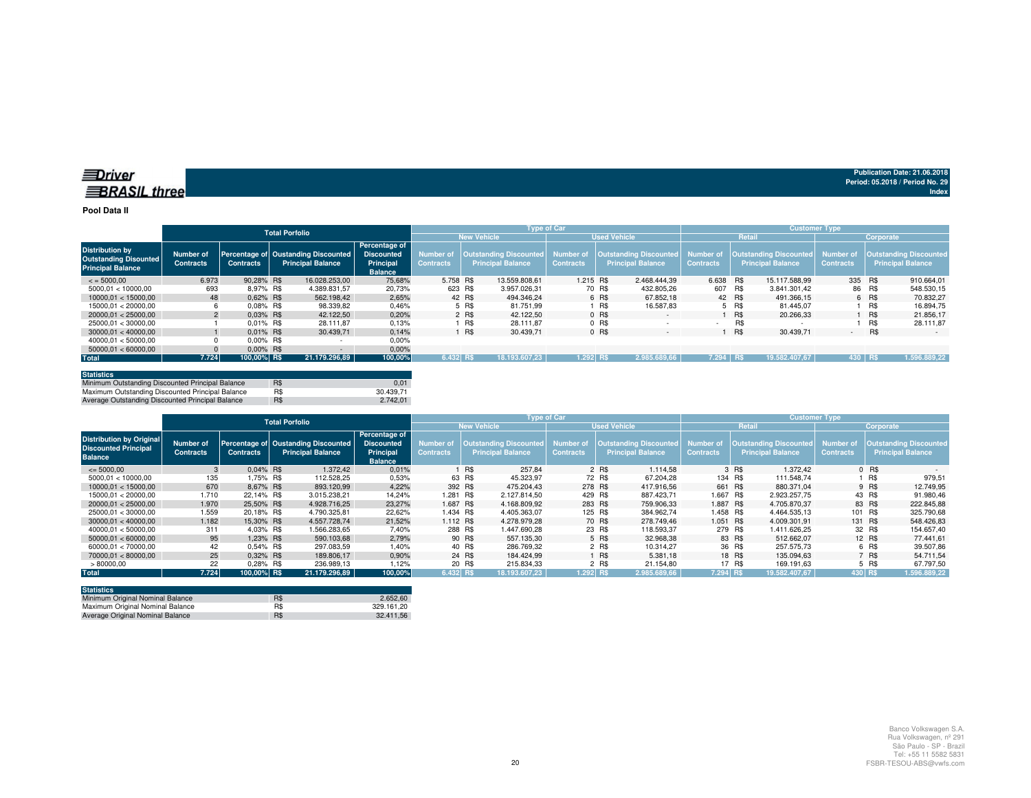#### **Pool Data II**

|                                                                                    |                               |                  | <b>Total Porfolio</b>                                           |                                                                   |                                      |                    | <b>Type of Car</b>                                 |                  |         |                                                                            | <b>Customer Type</b> |        |                                                                     |                  |           |                                                           |  |
|------------------------------------------------------------------------------------|-------------------------------|------------------|-----------------------------------------------------------------|-------------------------------------------------------------------|--------------------------------------|--------------------|----------------------------------------------------|------------------|---------|----------------------------------------------------------------------------|----------------------|--------|---------------------------------------------------------------------|------------------|-----------|-----------------------------------------------------------|--|
|                                                                                    |                               |                  |                                                                 |                                                                   |                                      | <b>New Vehicle</b> |                                                    |                  |         | <b>Used Vehicle</b>                                                        |                      | Retail |                                                                     |                  | Corporate |                                                           |  |
| <b>Distribution by</b><br><b>Outstanding Disounted</b><br><b>Principal Balance</b> | Number of<br><b>Contracts</b> | <b>Contracts</b> | Percentage of Oustanding Discounted<br><b>Principal Balance</b> | Percentage of<br><b>Discounted</b><br>Principal<br><b>Balance</b> | <b>Number of</b><br><b>Contracts</b> |                    | Outstanding Discounted<br><b>Principal Balance</b> | <b>Contracts</b> |         | Number of   Outstanding Discounted   Number of<br><b>Principal Balance</b> | <b>Contracts</b>     |        | <b>Outstanding Discounted</b> Number of<br><b>Principal Balance</b> | <b>Contracts</b> |           | <b>Outstanding Discounted</b><br><b>Principal Balance</b> |  |
| $\le$ = 5000.00                                                                    | 6.973                         | 90.28% R\$       | 16.028.253.00                                                   | 75.68%                                                            | 5.758 R\$                            |                    | 13.559.808.61                                      | 1.215 R\$        |         | 2.468.444.39                                                               | 6.638 R\$            |        | 15.117.588.99                                                       | 335 R\$          |           | 910.664.01                                                |  |
| 5000.01 < 10000.00                                                                 | 693                           | 8.97% R\$        | 4.389.831.57                                                    | 20,73%                                                            | 623 R\$                              |                    | 3.957.026.31                                       |                  | 70 R\$  | 432.805.26                                                                 | 607 R\$              |        | 3.841.301.42                                                        |                  | 86 R\$    | 548.530,15                                                |  |
| 10000.01 < 15000.00                                                                | 48                            | 0.62% R\$        | 562.198.42                                                      | 2.65%                                                             |                                      | 42 R\$             | 494.346.24                                         |                  | 6 R\$   | 67.852.18                                                                  |                      | 42 R\$ | 491.366.15                                                          |                  | 6 R\$     | 70.832,27                                                 |  |
| 15000.01 < 20000.00                                                                |                               | 0.08% R\$        | 98.339.82                                                       | 0.46%                                                             |                                      | 5 R\$              | 81.751.99                                          |                  | R\$     | 16.587.83                                                                  |                      | 5 R\$  | 81.445.07                                                           |                  | R\$       | 16.894.75                                                 |  |
| 20000.01 < 25000.00                                                                | $\overline{2}$                | $0.03\%$ R\$     | 42.122.50                                                       | 0.20%                                                             |                                      | 2 R\$              | 42.122.50                                          |                  | $0$ R\$ | $\sim$                                                                     |                      | R\$    | 20.266.33                                                           |                  | R\$       | 21.856.17                                                 |  |
| 25000.01 < 30000.00                                                                |                               | 0.01% R\$        | 28.111.87                                                       | 0.13%                                                             |                                      | R\$                | 28.111.87                                          |                  | $0$ R\$ |                                                                            |                      | R\$    |                                                                     |                  | R\$       | 28.111.87                                                 |  |
| 30000.01 < 40000.00                                                                |                               | $0.01\%$ R\$     | 30.439.71                                                       | 0.14%                                                             |                                      | R\$                | 30.439.71                                          |                  | 0 R\$   | $\overline{\phantom{a}}$                                                   |                      | R\$    | 30.439,71                                                           | ٠.               | R\$       | $\sim$                                                    |  |
| 40000.01 < 50000.00                                                                |                               | $0.00\%$ R\$     |                                                                 | 0,00%                                                             |                                      |                    |                                                    |                  |         |                                                                            |                      |        |                                                                     |                  |           |                                                           |  |
| 50000.01 < 60000.00                                                                |                               | $0.00\%$ R\$     |                                                                 | 0.00%                                                             |                                      |                    |                                                    |                  |         |                                                                            |                      |        |                                                                     |                  |           |                                                           |  |
| <b>Total</b>                                                                       | 7.724                         | 100,00% R\$      | 21.179.296.89                                                   | 100,00%                                                           | 6.432 RS                             |                    | 18.193.607.23                                      | $1.292$ RS       |         | 2.985.689.66                                                               | 7.294 RS             |        | 19.582.407.67                                                       | 430 RS           |           | 1.596.889.22                                              |  |

| <b>Statistics</b>                                |     |           |
|--------------------------------------------------|-----|-----------|
| Minimum Outstanding Discounted Principal Balance | R\$ | 0.01      |
| Maximum Outstanding Discounted Principal Balance | R\$ | 30.439.71 |
| Average Outstanding Discounted Principal Balance | R\$ | 2.742.01  |

|                                                                                  |                               |                  | <b>Total Porfolio</b>                                           |                                                                   |                                      |                    | <b>Type of Car</b>                                 |                               |         |                                                    | <b>Customer Type</b>          |        |                                                           |                                      |           |                                                           |  |
|----------------------------------------------------------------------------------|-------------------------------|------------------|-----------------------------------------------------------------|-------------------------------------------------------------------|--------------------------------------|--------------------|----------------------------------------------------|-------------------------------|---------|----------------------------------------------------|-------------------------------|--------|-----------------------------------------------------------|--------------------------------------|-----------|-----------------------------------------------------------|--|
|                                                                                  |                               |                  |                                                                 |                                                                   |                                      | <b>New Vehicle</b> |                                                    |                               |         | <b>Used Vehicle</b>                                |                               |        | Retail                                                    |                                      | Corporate |                                                           |  |
| <b>Distribution by Original</b><br><b>Discounted Principal</b><br><b>Balance</b> | Number of<br><b>Contracts</b> | <b>Contracts</b> | Percentage of Oustanding Discounted<br><b>Principal Balance</b> | Percentage of<br><b>Discounted</b><br>Principal<br><b>Balance</b> | <b>Number of</b><br><b>Contracts</b> |                    | Outstanding Discounted<br><b>Principal Balance</b> | Number of<br><b>Contracts</b> |         | Outstanding Discounted<br><b>Principal Balance</b> | Number of<br><b>Contracts</b> |        | <b>Outstanding Discounted</b><br><b>Principal Balance</b> | <b>Number of</b><br><b>Contracts</b> |           | <b>Outstanding Discounted</b><br><b>Principal Balance</b> |  |
| $\leq$ 5000.00                                                                   |                               | $0.04\%$ R\$     | 1.372,42                                                        | 0.01%                                                             |                                      | R\$                | 257.84                                             |                               | 2 R\$   | 1.114.58                                           |                               | 3 R\$  | 1.372.42                                                  |                                      | 0 R\$     |                                                           |  |
| 5000.01 < 10000.00                                                               | 135                           | 1.75% R\$        | 112.528.25                                                      | 0,53%                                                             |                                      | 63 R\$             | 45.323.97                                          |                               | 72 R\$  | 67.204.28                                          | 134 R\$                       |        | 111.548.74                                                |                                      | R\$       | 979,51                                                    |  |
| 10000.01 < 15000.00                                                              | 670                           | 8.67% R\$        | 893.120.99                                                      | 4.22%                                                             | 392 R\$                              |                    | 475.204.43                                         | 278 R\$                       |         | 417.916.56                                         | 661 R\$                       |        | 880.371.04                                                |                                      | 9 R\$     | 12.749.95                                                 |  |
| 15000.01 < 20000.00                                                              | 1.710                         | 22.14% R\$       | 3.015.238.21                                                    | 14.24%                                                            | 1.281 R\$                            |                    | 2.127.814.50                                       | 429 R\$                       |         | 887.423.71                                         | 1.667 R\$                     |        | 2.923.257.75                                              |                                      | 43 R\$    | 91.980,46                                                 |  |
| 20000.01 < 25000.00                                                              | 1.970                         | 25.50% R\$       | 4.928.716.25                                                    | 23.27%                                                            | 1.687 R\$                            |                    | 4.168.809.92                                       | 283 R\$                       |         | 759.906.33                                         | 1.887 R\$                     |        | 4.705.870.37                                              |                                      | 83 R\$    | 222.845.88                                                |  |
| 25000.01 < 30000.00                                                              | 1.559                         | 20.18% R\$       | 4.790.325.81                                                    | 22,62%                                                            | 1.434 R\$                            |                    | 4.405.363.07                                       |                               | 125 R\$ | 384.962.74                                         | 1.458 R\$                     |        | 4.464.535.13                                              | 101 R\$                              |           | 325.790,68                                                |  |
| 30000.01 < 40000.00                                                              | 1.182                         | 15.30% R\$       | 4.557.728.74                                                    | 21,52%                                                            | $1.112$ R\$                          |                    | 4.278.979.28                                       |                               | 70 R\$  | 278,749.46                                         | 1.051 R\$                     |        | 4.009.301.91                                              |                                      | 131 R\$   | 548.426,83                                                |  |
| 40000.01 < 50000.00                                                              | 311                           | 4.03% R\$        | 1.566.283.65                                                    | 7,40%                                                             | 288 R\$                              |                    | 1.447.690.28                                       |                               | 23 R\$  | 118.593.37                                         | 279 R\$                       |        | 1.411.626.25                                              |                                      | 32 R\$    | 154.657.40                                                |  |
| 50000.01 < 60000.00                                                              | 95                            | 1.23% R\$        | 590.103.68                                                      | 2,79%                                                             |                                      | 90 R\$             | 557.135.30                                         |                               | 5 R\$   | 32.968.38                                          |                               | 83 R\$ | 512.662.07                                                |                                      | 12 R\$    | 77.441.61                                                 |  |
| 60000.01 < 70000.00                                                              | 42                            | 0.54% R\$        | 297.083.59                                                      | 1.40%                                                             |                                      | 40 R\$             | 286.769.32                                         |                               | 2 R\$   | 10.314.27                                          |                               | 36 R\$ | 257.575.73                                                |                                      | 6 R\$     | 39.507,86                                                 |  |
| 70000.01 < 80000.00                                                              | 25                            | 0.32% R\$        | 189.806.17                                                      | 0.90%                                                             |                                      | 24 R\$             | 184.424.99                                         |                               | R\$     | 5.381.18                                           |                               | 18 R\$ | 135.094.63                                                |                                      | 7 R\$     | 54.711.54                                                 |  |
| >80000,00                                                                        | 22                            | 0.28% R\$        | 236.989,13                                                      | 1.12%                                                             |                                      | 20 R\$             | 215.834.33                                         |                               | 2 R\$   | 21.154.80                                          |                               | 17 R\$ | 169.191.63                                                |                                      | 5 R\$     | 67.797.50                                                 |  |
| <b>Total</b>                                                                     | 7.724                         | 100,00% R\$      | 21.179.296.89                                                   | 100,00%                                                           | 6.432 RS                             |                    | 18.193.607.23                                      | 1.292 RS                      |         | 2.985.689.66                                       | 7.294 R\$                     |        | 19.582.407.67                                             | 430 RS                               |           | 1.596.889,22                                              |  |

| <b>Statistics</b>                |     |            |
|----------------------------------|-----|------------|
| Minimum Original Nominal Balance | R\$ | 2.652.60   |
| Maximum Original Nominal Balance | R\$ | 329.161.20 |
| Average Original Nominal Balance | R\$ | 32.411.56  |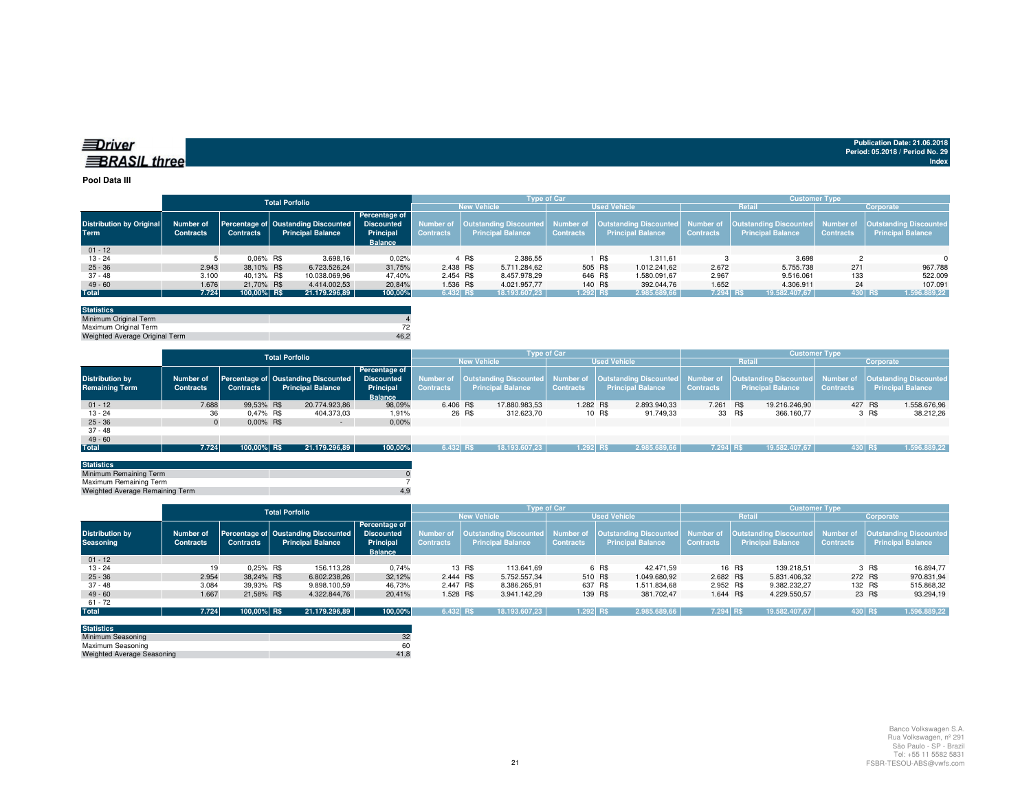| ≡ Driver             |  |
|----------------------|--|
| <b>∃BRASIL three</b> |  |

#### **Pool Data III**

|                                 |                  |                  | <b>Total Porfolio</b>                          |                             |                  |                          | <b>Type of Car</b> |                          | <b>Customer Type</b>                                                                                                                       |                          |                  |                          |  |  |
|---------------------------------|------------------|------------------|------------------------------------------------|-----------------------------|------------------|--------------------------|--------------------|--------------------------|--------------------------------------------------------------------------------------------------------------------------------------------|--------------------------|------------------|--------------------------|--|--|
|                                 |                  |                  |                                                |                             |                  | <b>New Vehicle</b>       |                    | <b>Used Vehicle</b>      |                                                                                                                                            | <b>Retail</b>            | Corporate        |                          |  |  |
| <b>Distribution by Original</b> | <b>Number of</b> | <b>Contracts</b> | Percentage of Oustanding Discounted Discounted | Percentage of               |                  |                          |                    |                          | Number of  Outstanding Discounted  Number of  Outstanding Discounted  Number of  Outstanding Discounted  Number of  Outstanding Discounted |                          |                  |                          |  |  |
| <b>Term</b>                     | <b>Contracts</b> |                  | <b>Principal Balance</b>                       | Principal<br><b>Balance</b> | <b>Contracts</b> | <b>Principal Balance</b> | <b>Contracts</b>   | <b>Principal Balance</b> | <b>Contracts</b>                                                                                                                           | <b>Principal Balance</b> | <b>Contracts</b> | <b>Principal Balance</b> |  |  |
| $01 - 12$                       |                  |                  |                                                |                             |                  |                          |                    |                          |                                                                                                                                            |                          |                  |                          |  |  |
| $13 - 24$                       |                  | 0.06% R\$        | 3.698,16                                       | 0,02%                       |                  | 2.386,55<br>4 R\$        |                    | R\$<br>1.311.61          |                                                                                                                                            | 3.698                    |                  | $\Omega$                 |  |  |
| $25 - 36$                       | 2.943            | 38.10% R\$       | 6.723.526.24                                   | 31,75%                      | 2.438 R\$        | 5.711.284.62             | 505 R\$            | 1.012.241.62             | 2.672                                                                                                                                      | 5.755.738                | 271              | 967.788                  |  |  |
| 37 - 48                         | 3.100            | 40.13% R\$       | 10.038.069.96                                  | 47.40%                      | 2.454 R\$        | 8.457.978.29             |                    | 646 R\$<br>1.580.091.67  | 2.967                                                                                                                                      | 9.516.061                | 133              | 522.009                  |  |  |
| $49 - 60$                       | 1.676            | 21,70% R\$       | 4.414.002.53                                   | 20,84%                      | 1.536 R\$        | 4.021.957.77             |                    | 140 R\$<br>392.044.76    | 1.652                                                                                                                                      | 4.306.911                | 24               | 107.091                  |  |  |
| <b>Total</b>                    | 7.724            | 100.00% R\$      | 21.179.296,89                                  | 100,00%                     | $6.432$ R\$      | 18.193.607.23            | 1.292 R\$          | 2.985.689,66             | 7.294 R\$                                                                                                                                  | 19.582.407,67            |                  | 430 R\$<br>1.596.889,22  |  |  |

| <b>Statistics</b>              |      |
|--------------------------------|------|
| Minimum Original Term          |      |
| Maximum Original Term          |      |
| Weighted Average Original Term | 46.2 |

|                        |                  |                  | <b>Total Porfolio</b> |                                     |                   | <b>Type of Car</b> |        |                                                |                     |        |                                  |                  | <b>Customer Type</b> |                                  |                  |           |                               |  |
|------------------------|------------------|------------------|-----------------------|-------------------------------------|-------------------|--------------------|--------|------------------------------------------------|---------------------|--------|----------------------------------|------------------|----------------------|----------------------------------|------------------|-----------|-------------------------------|--|
|                        |                  |                  |                       |                                     |                   |                    |        | <b>New Vehicle</b>                             | <b>Used Vehicle</b> |        |                                  |                  | Retail               |                                  |                  | Corporate |                               |  |
|                        |                  |                  |                       |                                     | Percentage of     |                    |        |                                                |                     |        |                                  |                  |                      |                                  |                  |           |                               |  |
| <b>Distribution by</b> | Number of        |                  |                       | Percentage of Oustanding Discounted | <b>Discounted</b> |                    |        | Number of   Outstanding Discounted   Number of |                     |        | Outstanding Discounted Number of |                  |                      | Outstanding Discounted Number of |                  |           | <b>Outstanding Discounted</b> |  |
| <b>Remaining Term</b>  | <b>Contracts</b> | <b>Contracts</b> |                       | <b>Principal Balance</b>            | Principal         | <b>Contracts</b>   |        | <b>Principal Balance</b>                       | <b>Contracts</b>    |        | <b>Principal Balance</b>         | <b>Contracts</b> |                      | <b>Principal Balance</b>         | <b>Contracts</b> |           | <b>Principal Balance</b>      |  |
|                        |                  |                  |                       |                                     | <b>Balance</b>    |                    |        |                                                |                     |        |                                  |                  |                      |                                  |                  |           |                               |  |
| $01 - 12$              | 7.688            | 99.53% R\$       |                       | 20.774.923,86                       | 98,09%            | 6.406 R\$          |        | 17.880.983,53                                  | 1.282 R\$           |        | 2.893.940,33                     | 7.261 R\$        |                      | 19.216.246.90                    | 427 R\$          |           | 1.558.676,96                  |  |
| $13 - 24$              | 36               | 0.47% R\$        |                       | 404.373,03                          | 1,91%             |                    | 26 R\$ | 312.623.70                                     |                     | 10 R\$ | 91.749.33                        | 33 R\$           |                      | 366.160.77                       |                  | 3 R\$     | 38.212.26                     |  |
| $25 - 36$              |                  | $0.00\%$ R\$     |                       | $\sim$                              | 0,00%             |                    |        |                                                |                     |        |                                  |                  |                      |                                  |                  |           |                               |  |
| 37 - 48                |                  |                  |                       |                                     |                   |                    |        |                                                |                     |        |                                  |                  |                      |                                  |                  |           |                               |  |
| $49 - 60$              |                  |                  |                       |                                     |                   |                    |        |                                                |                     |        |                                  |                  |                      |                                  |                  |           |                               |  |
| <b>Total</b>           | 7.724            | 100.00% R\$      |                       | 21.179.296,89                       | 100,00%           | 6.432 R\$          |        | 18.193.607.23                                  | $1.292$ RS          |        | 2.985.689,66                     | 7.294 RS         |                      | 19.582.407,67                    | 430 RS           |           | 1.596.889,22                  |  |
|                        |                  |                  |                       |                                     |                   |                    |        |                                                |                     |        |                                  |                  |                      |                                  |                  |           |                               |  |

| <b>Statistics</b>               |     |
|---------------------------------|-----|
| Minimum Remaining Term          |     |
| Maximum Remaining Term          |     |
| Weighted Average Remaining Term | 4.9 |
|                                 |     |

|                                            |                                      |                  | <b>Total Porfolio</b>                                           |                                                                          |                                                                                                                                                                                            |                      | <b>Type of Car</b> |                          | <b>Customer Type</b> |                          |                  |                          |  |  |
|--------------------------------------------|--------------------------------------|------------------|-----------------------------------------------------------------|--------------------------------------------------------------------------|--------------------------------------------------------------------------------------------------------------------------------------------------------------------------------------------|----------------------|--------------------|--------------------------|----------------------|--------------------------|------------------|--------------------------|--|--|
|                                            |                                      |                  |                                                                 |                                                                          |                                                                                                                                                                                            | <b>New Vehicle</b>   |                    | <b>Used Vehicle</b>      |                      | <b>Retail</b>            |                  | Corporate                |  |  |
| <b>Distribution by</b><br><b>Seasoning</b> | <b>Number of</b><br><b>Contracts</b> | <b>Contracts</b> | Percentage of Oustanding Discounted<br><b>Principal Balance</b> | <b>Percentage of</b><br><b>Discounted</b><br>Principal<br><b>Balance</b> | Number of  Outstanding Discounted  Number of  Outstanding Discounted  Number of  Outstanding Discounted  Number of  Outstanding Discounted<br><b>Contracts</b><br><b>Principal Balance</b> |                      | <b>Contracts</b>   | <b>Principal Balance</b> | <b>Contracts</b>     | <b>Principal Balance</b> | <b>Contracts</b> | <b>Principal Balance</b> |  |  |
| $01 - 12$                                  |                                      |                  |                                                                 |                                                                          |                                                                                                                                                                                            |                      |                    |                          |                      |                          |                  |                          |  |  |
| $13 - 24$                                  | 19                                   | $0.25\%$ R\$     | 156.113,28                                                      | 0,74%                                                                    |                                                                                                                                                                                            | 13 R\$<br>113.641.69 |                    | 6 R\$<br>42.471.59       |                      | 139.218.51<br>16 R\$     |                  | 3 R\$<br>16.894.77       |  |  |
| $25 - 36$                                  | 2.954                                | 38.24% R\$       | 6.802.238.26                                                    | 32,12%                                                                   | 2.444 R\$                                                                                                                                                                                  | 5.752.557.34         | 510 R\$            | 1.049.680.92             | 2.682 R\$            | 5.831.406.32             | 272 R\$          | 970.831,94               |  |  |
| $37 - 48$                                  | 3.084                                | 39.93% R\$       | 9.898.100.59                                                    | 46.73%                                                                   | 2.447 R\$                                                                                                                                                                                  | 8.386.265.91         | 637 R\$            | 1.511.834.68             | 2.952 R\$            | 9.382.232.27             | 132 R\$          | 515.868,32               |  |  |
| $49 - 60$                                  | 1.667                                | 21.58% R\$       | 4.322.844.76                                                    | 20,41%                                                                   | 1.528 R\$                                                                                                                                                                                  | 3.941.142.29         | 139 R\$            | 381.702.47               | 1.644 R\$            | 4.229.550,57             | 23 R\$           | 93.294,19                |  |  |
| $61 - 72$                                  |                                      |                  |                                                                 |                                                                          |                                                                                                                                                                                            |                      |                    |                          |                      |                          |                  |                          |  |  |
| <b>Total</b>                               | 7.724                                | 100,00% R\$      | 21.179.296.89                                                   | 100,00%                                                                  | 6.432 RS                                                                                                                                                                                   | 18.193.607.23        | $1.292$ RS         | 2.985.689,66             | 7.294 R\$            | 19.582.407,67            | 430 R\$          | 1.596.889,22             |  |  |

| <b>Statistics</b>                 |      |
|-----------------------------------|------|
| Minimum Seasoning                 | 32   |
| Maximum Seasoning                 | 60   |
| <b>Weighted Average Seasoning</b> | 41.8 |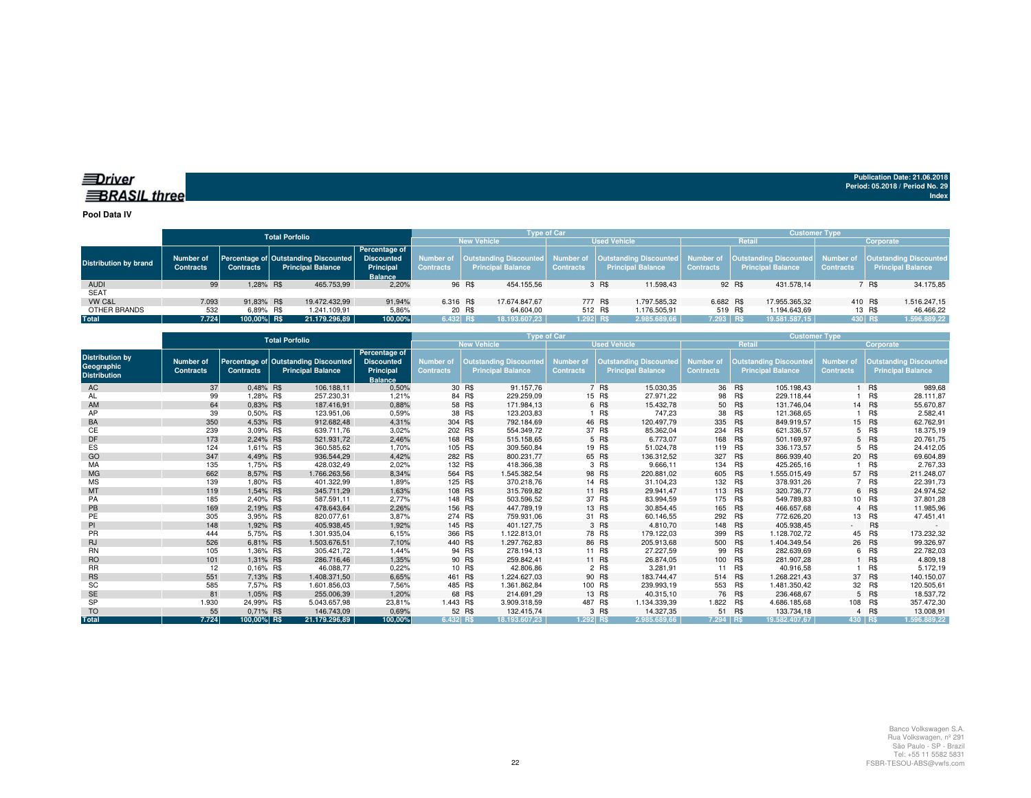#### *<u>IDriver</u>* **BRASIL** three

**Publication Date: 21.06.2018Period: 05.2018 / Period No. 29 Index**

**Pool Data IV**

|                              |                               |                  | <b>Total Porfolio</b>                                            |                                                                          |                  |                    |                          | <b>Type of Car</b> |                     |                                                                                                                                                                        | <b>Customer Type</b> |        |                          |                  |         |                          |  |
|------------------------------|-------------------------------|------------------|------------------------------------------------------------------|--------------------------------------------------------------------------|------------------|--------------------|--------------------------|--------------------|---------------------|------------------------------------------------------------------------------------------------------------------------------------------------------------------------|----------------------|--------|--------------------------|------------------|---------|--------------------------|--|
|                              |                               |                  |                                                                  |                                                                          |                  | <b>New Vehicle</b> |                          |                    | <b>Used Vehicle</b> |                                                                                                                                                                        | Retail               |        |                          | Corporate        |         |                          |  |
| <b>Distribution by brand</b> | Number of<br><b>Contracts</b> | <b>Contracts</b> | Percentage of Outstanding Discounted<br><b>Principal Balance</b> | <b>Percentage of</b><br><b>Discounted</b><br>Principal<br><b>Balance</b> | <b>Contracts</b> |                    | <b>Principal Balance</b> | <b>Contracts</b>   |                     | Number of  Outstanding Discounted  Number of  Outstanding Discounted  Number of  Outstanding Discounted  Number of  Outstanding Discounted<br><b>Principal Balance</b> | <b>Contracts</b>     |        | <b>Principal Balance</b> | <b>Contracts</b> |         | <b>Principal Balance</b> |  |
| <b>AUDI</b>                  | 99                            | 1.28% R\$        | 465,753.99                                                       | 2,20%                                                                    |                  | 96 R\$             | 454.155,56               |                    | 3 R\$               | 11.598.43                                                                                                                                                              |                      | 92 R\$ | 431.578.14               |                  | 7 R\$   | 34.175,85                |  |
| <b>SEAT</b>                  |                               |                  |                                                                  |                                                                          |                  |                    |                          |                    |                     |                                                                                                                                                                        |                      |        |                          |                  |         |                          |  |
| VW C&L                       | 7.093                         | 91.83% R\$       | 19.472.432.99                                                    | 91.94%                                                                   | 6.316 R\$        |                    | 17.674.847.67            |                    | 777 R\$             | 1.797.585.32                                                                                                                                                           | 6.682 R\$            |        | 17.955.365.32            |                  | 410 R\$ | 1.516.247,15             |  |
| OTHER BRANDS                 | 532                           | 6.89% R\$        | 1.241.109.91                                                     | 5.86%                                                                    |                  | 20 R\$             | 64.604.00                |                    | 512 R\$             | 1.176.505.91                                                                                                                                                           | 519 R\$              |        | 1.194.643.69             |                  | 13 R\$  | 46.466,22                |  |
| <b>Total</b>                 | 7.724                         | 100.00% R\$      | 21.179.296.89                                                    | 100,00%                                                                  | $6.432$ RS       |                    | 18.193.607.23            | $1.292$ RS         |                     | 2.985.689.66                                                                                                                                                           | $7.293$ R\$          |        | 19.581.587.15            | 430 RS           |         | 1.596.889,22             |  |

|                                                             |                               |                  | <b>Total Porfolio</b>                                            |                                                                   |                                      |                                                           | <b>Type of Car</b>                   |             |                                                           | <b>Customer Type</b>          |         |                                                           |                                      |            |                                                           |
|-------------------------------------------------------------|-------------------------------|------------------|------------------------------------------------------------------|-------------------------------------------------------------------|--------------------------------------|-----------------------------------------------------------|--------------------------------------|-------------|-----------------------------------------------------------|-------------------------------|---------|-----------------------------------------------------------|--------------------------------------|------------|-----------------------------------------------------------|
|                                                             |                               |                  |                                                                  |                                                                   |                                      | <b>New Vehicle</b>                                        |                                      |             | <b>Used Vehicle</b>                                       |                               | Retail  |                                                           |                                      | Corporate  |                                                           |
| <b>Distribution by</b><br>Geographic<br><b>Distribution</b> | Number of<br><b>Contracts</b> | <b>Contracts</b> | Percentage of Outstanding Discounted<br><b>Principal Balance</b> | Percentage of<br><b>Discounted</b><br>Principal<br><b>Balance</b> | <b>Number of</b><br><b>Contracts</b> | <b>Outstanding Discounted</b><br><b>Principal Balance</b> | <b>Number of</b><br><b>Contracts</b> |             | <b>Outstanding Discounted</b><br><b>Principal Balance</b> | Number of<br><b>Contracts</b> |         | <b>Outstanding Discounted</b><br><b>Principal Balance</b> | <b>Number of</b><br><b>Contracts</b> |            | <b>Outstanding Discounted</b><br><b>Principal Balance</b> |
| AC                                                          | 37                            | 0,48% R\$        | 106.188,11                                                       | 0,50%                                                             |                                      | 91.157.76<br>30 R\$                                       |                                      | 7 R\$       | 15.030,35                                                 |                               | 36 R\$  | 105.198,43                                                |                                      | 1 R\$      | 989,68                                                    |
| AL                                                          | 99                            | 1,28% R\$        | 257.230,31                                                       | 1,21%                                                             |                                      | 84 R\$<br>229.259,09                                      |                                      | 15 R\$      | 27.971,22                                                 | 98                            | R\$     | 229.118,44                                                |                                      | R\$        | 28.111,87                                                 |
| AM                                                          | 64                            | 0.83% R\$        | 187.416.91                                                       | 0,88%                                                             |                                      | 58 R\$<br>171.984,13                                      |                                      | 6 R\$       | 15.432,78                                                 |                               | 50 R\$  | 131.746.04                                                |                                      | 14 R\$     | 55.670,87                                                 |
| AP                                                          | 39                            | 0.50% R\$        | 123.951.06                                                       | 0,59%                                                             |                                      | 38 R\$<br>123.203,83                                      |                                      | $\cdot$ R\$ | 747,23                                                    | 38                            | R\$     | 121.368.65                                                |                                      | R\$        | 2.582,41                                                  |
| BA                                                          | 350                           | 4,53% R\$        | 912.682,48                                                       | 4,31%                                                             | 304 R\$                              | 792.184,69                                                |                                      | 46 R\$      | 120.497,79                                                | 335                           | R\$     | 849.919,57                                                |                                      | 15 R\$     | 62.762,91                                                 |
| CЕ                                                          | 239                           | 3.09% R\$        | 639.711,76                                                       | 3,02%                                                             | 202 R\$                              | 554.349,72                                                |                                      | 37 R\$      | 85.362,04                                                 | 234                           | R\$     | 621.336,57                                                |                                      | 5 R\$      | 18.375,19                                                 |
| DF                                                          | 173                           | 2.24% R\$        | 521.931,72                                                       | 2,46%                                                             | 168 R\$                              | 515.158,65                                                |                                      | 5 R\$       | 6.773.07                                                  | 168 R\$                       |         | 501.169,97                                                |                                      | 5 R\$      | 20.761,75                                                 |
| ES                                                          | 124                           | 1,61% R\$        | 360.585.62                                                       | 1.70%                                                             |                                      | 105 R\$<br>309.560,84                                     |                                      | 19 R\$      | 51.024,78                                                 | 119                           | R\$     | 336.173,57                                                | 5                                    | R\$        | 24.412,05                                                 |
| GO                                                          | 347                           | 4.49% R\$        | 936.544,29                                                       | 4,42%                                                             | 282 R\$                              | 800.231,77                                                |                                      | 65 R\$      | 136.312,52                                                | 327 R\$                       |         | 866.939,40                                                |                                      | 20 R\$     | 69.604,89                                                 |
| MA                                                          | 135                           | 1,75% R\$        | 428.032.49                                                       | 2,02%                                                             | 132 R\$                              | 418.366,38                                                |                                      | 3 R\$       | 9.666,11                                                  |                               | 134 R\$ | 425.265,16                                                |                                      | R\$        | 2.767,33                                                  |
| <b>MG</b>                                                   | 662                           | 8.57% R\$        | 1.766.263.56                                                     | 8,34%                                                             | 564 R\$                              | 1.545.382.54                                              |                                      | 98 R\$      | 220.881.02                                                | 605 R\$                       |         | 1.555.015.49                                              |                                      | 57 R\$     | 211.248,07                                                |
| <b>MS</b>                                                   | 139                           | 1,80% R\$        | 401.322,99                                                       | 1,89%                                                             |                                      | 125 R\$<br>370.218,76                                     |                                      | 14 R\$      | 31.104,23                                                 |                               | 132 R\$ | 378.931,26                                                |                                      | 7 R\$      | 22.391,73                                                 |
| MT                                                          | 119                           | 1,54% R\$        | 345.711,29                                                       | 1,63%                                                             | 108 R\$                              | 315.769,82                                                |                                      | 11 R\$      | 29.941,47                                                 | 113 R\$                       |         | 320.736,77                                                |                                      | 6 R\$      | 24.974,52                                                 |
| PA                                                          | 185                           | 2,40% R\$        | 587.591.11                                                       | 2,77%                                                             |                                      | 148 R\$<br>503.596,52                                     |                                      | 37 R\$      | 83.994,59                                                 | 175 R\$                       |         | 549.789,83                                                |                                      | 10 R\$     | 37.801,28                                                 |
| PB                                                          | 169                           | 2,19% R\$        | 478.643,64                                                       | 2,26%                                                             | 156 R\$                              | 447.789,19                                                |                                      | 13 R\$      | 30.854,45                                                 |                               | 165 R\$ | 466.657,68                                                |                                      | 4 R\$      | 11.985,96                                                 |
| PE                                                          | 305                           | 3.95% R\$        | 820.077.61                                                       | 3,87%                                                             | 274 R\$                              | 759.931,06                                                |                                      | 31 R\$      | 60.146,55                                                 | 292 R\$                       |         | 772.626,20                                                |                                      | 13 R\$     | 47.451,41                                                 |
| PI                                                          | 148                           | 1.92% R\$        | 405.938.45                                                       | 1,92%                                                             | 145 R\$                              | 401.127.75                                                |                                      | 3 R\$       | 4.810,70                                                  | 148 R\$                       |         | 405.938.45                                                | $\sim$                               | R\$        |                                                           |
| <b>PR</b>                                                   | 444                           | 5.75% R\$        | 1.301.935.04                                                     | 6,15%                                                             | 366 R\$                              | 1.122.813.01                                              |                                      | 78 R\$      | 179.122,03                                                | 399                           | R\$     | 1.128.702.72                                              |                                      | 45 R\$     | 173.232,32                                                |
| <b>RJ</b>                                                   | 526                           | 6,81% R\$        | 1.503.676,51                                                     | 7,10%                                                             | 440 R\$                              | 1.297.762,83                                              |                                      | 86 R\$      | 205.913,68                                                | 500 R\$                       |         | 1.404.349,54                                              | 26                                   | R\$        | 99.326,97                                                 |
| <b>RN</b>                                                   | 105                           | 1,36% R\$        | 305.421,72                                                       | 1,44%                                                             |                                      | 94 R\$<br>278.194,13                                      |                                      | 11 R\$      | 27.227,59                                                 | 99                            | R\$     | 282.639,69                                                |                                      | 6 R\$      | 22.782,03                                                 |
| <b>RO</b>                                                   | 101                           | 1,31% R\$        | 286,716.46                                                       | 1,35%                                                             |                                      | 90 R\$<br>259.842.41                                      |                                      | 11 R\$      | 26.874.05                                                 | 100 R\$                       |         | 281.907.28                                                |                                      | 1 R\$      | 4.809,18                                                  |
| <b>RR</b>                                                   | 12                            | 0.16% R\$        | 46.088,77                                                        | 0,22%                                                             |                                      | 10 R\$<br>42.806,86                                       |                                      | 2 R\$       | 3.281,91                                                  | 11                            | R\$     | 40.916,58                                                 |                                      | <b>R\$</b> | 5.172,19                                                  |
| <b>RS</b>                                                   | 551                           | 7,13% R\$        | 1.408.371,50                                                     | 6,65%                                                             | 461 R\$                              | 1.224.627.03                                              |                                      | 90 R\$      | 183.744,47                                                | 514 R\$                       |         | 1.268.221,43                                              | 37                                   | R\$        | 140.150,07                                                |
| SC                                                          | 585                           | 7.57% R\$        | 1.601.856,03                                                     | 7,56%                                                             | 485 R\$                              | 1.361.862,84                                              |                                      | 100 R\$     | 239.993,19                                                | 553 R\$                       |         | 1.481.350,42                                              | 32                                   | R\$        | 120.505,61                                                |
| <b>SE</b>                                                   | 81                            | 1,05% R\$        | 255,006.39                                                       | 1,20%                                                             |                                      | 68 R\$<br>214.691.29                                      |                                      | 13 R\$      | 40.315.10                                                 |                               | 76 R\$  | 236.468.67                                                |                                      | 5 R\$      | 18.537,72                                                 |
| <b>SP</b>                                                   | 1.930                         | 24.99% R\$       | 5.043.657.98                                                     | 23,81%                                                            | 1.443 R\$                            | 3.909.318.59                                              |                                      | 487 R\$     | 1.134.339.39                                              | 1.822 R\$                     |         | 4.686.185,68                                              |                                      | 108 R\$    | 357.472,30                                                |
| <b>TO</b>                                                   | 55                            | 0.71% R\$        | 146.743,09                                                       | 0,69%                                                             |                                      | 52 R\$<br>132.415,74                                      |                                      | 3 R\$       | 14.327,35                                                 |                               | 51 R\$  | 133.734.18                                                |                                      | 4 R\$      | 13.008,91                                                 |
| <b>Total</b>                                                | 7.724                         | 100,00% R\$      | 21.179.296.89                                                    | 100.00%                                                           | 6.432 RS                             | 18.193.607.23                                             | 1.292 RS                             |             | 2.985.689.66                                              | 7.294 RS                      |         | 19.582.407.67                                             | 430 RS                               |            | 1.596.889.22                                              |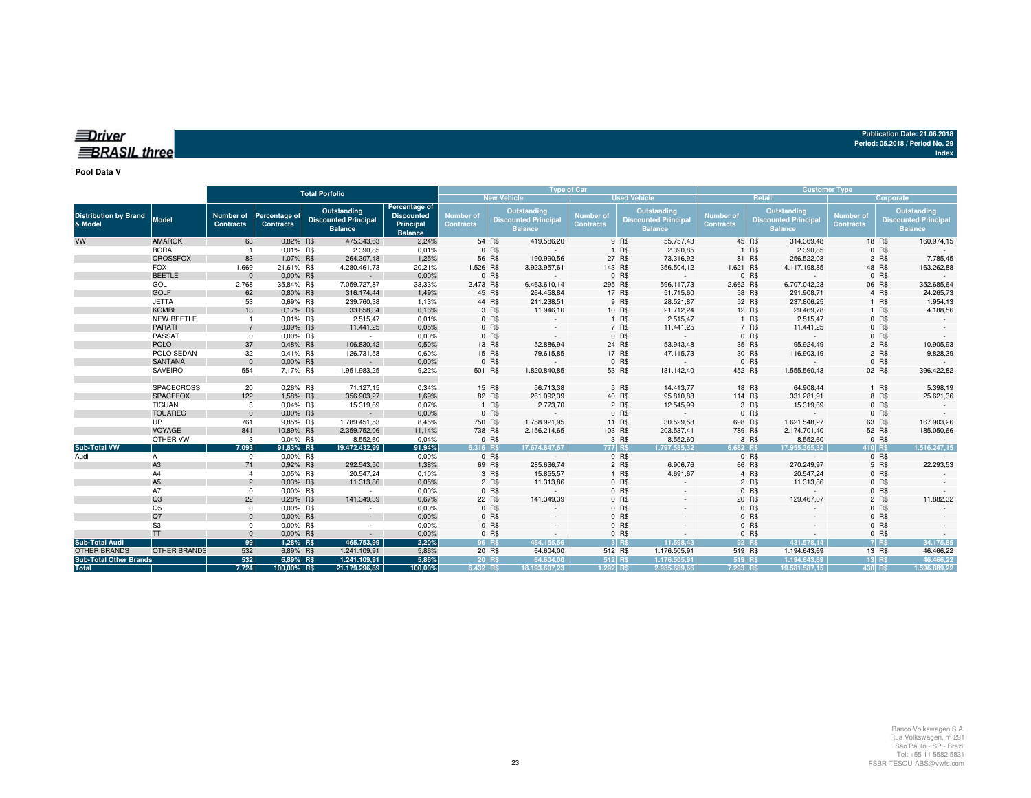| <i>diver</i>        |  |  |
|---------------------|--|--|
|                     |  |  |
| <b>BRASIL three</b> |  |  |
|                     |  |  |

**Pool Data V**

|                                              |                                   | <b>Total Porfolio</b>                |                                   |  |                                                              |                                                                   |                                      |                | <b>Type of Car</b>                                           |                                      |                    |                                                              | <b>Customer Type</b>          |                 |                                                              |                                      |                         |                                                              |
|----------------------------------------------|-----------------------------------|--------------------------------------|-----------------------------------|--|--------------------------------------------------------------|-------------------------------------------------------------------|--------------------------------------|----------------|--------------------------------------------------------------|--------------------------------------|--------------------|--------------------------------------------------------------|-------------------------------|-----------------|--------------------------------------------------------------|--------------------------------------|-------------------------|--------------------------------------------------------------|
|                                              |                                   |                                      |                                   |  |                                                              |                                                                   |                                      |                | <b>New Vehicle</b>                                           |                                      |                    | <b>Used Vehicle</b>                                          |                               |                 | Retail                                                       |                                      | Corporate               |                                                              |
| <b>Distribution by Brand</b><br>& Model      | <b>Model</b>                      | <b>Number of</b><br><b>Contracts</b> | Percentage of<br><b>Contracts</b> |  | Outstanding<br><b>Discounted Principal</b><br><b>Balance</b> | Percentage of<br><b>Discounted</b><br>Principal<br><b>Balance</b> | <b>Number of</b><br><b>Contracts</b> |                | Outstanding<br><b>Discounted Principal</b><br><b>Balance</b> | <b>Number of</b><br><b>Contracts</b> |                    | Outstanding<br><b>Discounted Principal</b><br><b>Balance</b> | Number of<br><b>Contracts</b> |                 | Outstanding<br><b>Discounted Principal</b><br><b>Balance</b> | <b>Number of</b><br><b>Contracts</b> |                         | Outstanding<br><b>Discounted Principal</b><br><b>Balance</b> |
| <b>VW</b>                                    | <b>AMAROK</b>                     | 63                                   | 0,82% R\$                         |  | 475.343,63                                                   | 2,24%                                                             |                                      | 54 R\$         | 419.586,20                                                   |                                      | 9 R\$              | 55.757,43                                                    |                               | 45 R\$          | 314.369,48                                                   |                                      | 18 R\$                  | 160.974,15                                                   |
|                                              | <b>BORA</b>                       |                                      | 0,01% R\$                         |  | 2.390,85                                                     | 0,01%                                                             |                                      | 0 R\$          |                                                              |                                      | 1 R\$              | 2.390,85                                                     |                               | 1 R\$           | 2.390,85                                                     |                                      | 0 R\$                   |                                                              |
|                                              | <b>CROSSFOX</b>                   | 83                                   | 1,07% R\$                         |  | 264.307,48                                                   | 1,25%                                                             |                                      | 56 R\$         | 190.990,56                                                   |                                      | 27 R\$             | 73.316,92                                                    |                               | 81 R\$          | 256.522,03                                                   |                                      | 2 R\$                   | 7.785,45                                                     |
|                                              | <b>FOX</b>                        | 1.669                                | 21,61% R\$                        |  | 4.280.461,73                                                 | 20,21%                                                            | 1.526 R\$                            |                | 3.923.957,61                                                 |                                      | 143 R\$            | 356.504,12                                                   | 1.621 R\$                     |                 | 4.117.198,85                                                 |                                      | 48 R\$                  | 163.262,88                                                   |
|                                              | <b>BEETLE</b>                     | $\Omega$                             | 0,00% R\$                         |  | $\sim$                                                       | 0,00%                                                             |                                      | 0 R\$          |                                                              |                                      | 0 R\$              |                                                              |                               | $0$ R\$         |                                                              |                                      | 0 R\$                   |                                                              |
|                                              | GOL                               | 2.768                                | 35,84% R\$                        |  | 7.059.727,87                                                 | 33,33%                                                            | 2.473 R\$                            |                | 6.463.610,14                                                 |                                      | 295 R\$            | 596.117,73                                                   | 2.662 R\$                     |                 | 6.707.042,23                                                 |                                      | 106 R\$                 | 352.685,64                                                   |
|                                              | <b>GOLF</b>                       | 62                                   | 0.80% R\$                         |  | 316.174,44                                                   | 1,49%                                                             |                                      | 45 R\$         | 264.458,84                                                   |                                      | 17 R\$             | 51.715,60                                                    |                               | 58 R\$          | 291.908,71                                                   |                                      | 4 R\$                   | 24.265,73                                                    |
|                                              | <b>JETTA</b>                      | 53<br>13                             | 0,69% R\$                         |  | 239.760,38                                                   | 1,13%                                                             |                                      | 44 R\$         | 211.238,51                                                   |                                      | 9 R\$              | 28.521,87                                                    |                               | 52 R\$          | 237.806,25                                                   |                                      | 1 R\$                   | 1.954,13                                                     |
|                                              | <b>KOMBI</b><br><b>NEW BEETLE</b> |                                      | 0,17% R\$<br>0,01% R\$            |  | 33.658,34<br>2.515,47                                        | 0,16%<br>0,01%                                                    |                                      | 3 R\$<br>0 R\$ | 11.946,10                                                    |                                      | 10 R\$<br>1 R\$    | 21.712,24<br>2.515,47                                        |                               | 12 R\$<br>1 R\$ | 29.469,78<br>2.515,47                                        |                                      | 1 R\$<br>0 R\$          | 4.188,56                                                     |
|                                              | <b>PARATI</b>                     |                                      | 0.09% R\$                         |  | 11.441,25                                                    | 0.05%                                                             |                                      | 0 R\$          |                                                              |                                      | 7 R\$              | 11.441,25                                                    |                               | 7 R\$           | 11.441,25                                                    |                                      | 0 R\$                   |                                                              |
|                                              | PASSAT                            | 0                                    | 0,00% R\$                         |  | $\sim$ $\sim$                                                | 0,00%                                                             |                                      | 0 R\$          |                                                              |                                      | 0 R\$              |                                                              |                               | 0 R\$           |                                                              |                                      | 0 R\$                   |                                                              |
|                                              | <b>POLO</b>                       | 37                                   | 0.48% R\$                         |  | 106.830,42                                                   | 0,50%                                                             |                                      | 13 R\$         | 52.886,94                                                    |                                      | 24 R\$             | 53.943,48                                                    |                               | 35 R\$          | 95.924,49                                                    |                                      | 2 R\$                   | 10.905,93                                                    |
|                                              | POLO SEDAN                        | 32                                   | 0.41% R\$                         |  | 126.731,58                                                   | 0,60%                                                             |                                      | 15 R\$         | 79.615,85                                                    |                                      | 17 R\$             | 47.115,73                                                    |                               | 30 R\$          | 116.903,19                                                   |                                      | 2 R\$                   | 9.828,39                                                     |
|                                              | <b>SANTANA</b>                    | $\Omega$                             | 0.00% R\$                         |  | $\sim$                                                       | 0,00%                                                             |                                      | 0 R\$          |                                                              |                                      | 0 R\$              |                                                              |                               | 0 R\$           |                                                              |                                      | 0 R\$                   |                                                              |
|                                              | SAVEIRO                           | 554                                  | 7,17% R\$                         |  | 1.951.983,25                                                 | 9,22%                                                             | 501 R\$                              |                | 1.820.840,85                                                 |                                      | 53 R\$             | 131.142,40                                                   | 452 R\$                       |                 | 1.555.560,43                                                 |                                      | 102 R\$                 | 396.422,82                                                   |
|                                              |                                   |                                      |                                   |  |                                                              |                                                                   |                                      |                |                                                              |                                      |                    |                                                              |                               |                 |                                                              |                                      |                         |                                                              |
|                                              | SPACECROSS                        | 20                                   | 0.26% R\$                         |  | 71.127,15                                                    | 0,34%                                                             | 15 R\$                               |                | 56.713,38                                                    |                                      | 5 R\$              | 14.413,77                                                    |                               | 18 R\$          | 64.908,44                                                    |                                      | 1 R\$                   | 5.398,19                                                     |
|                                              | <b>SPACEFOX</b>                   | 122                                  | 1,58% R\$                         |  | 356.903,27                                                   | 1,69%                                                             |                                      | 82 R\$         | 261.092,39                                                   |                                      | 40 R\$             | 95.810,88                                                    | 114 R\$                       |                 | 331.281,91                                                   |                                      | 8 R\$                   | 25.621,36                                                    |
|                                              | <b>TIGUAN</b>                     | 3                                    | 0.04% R\$                         |  | 15.319,69                                                    | 0,07%                                                             |                                      | 1 R\$          | 2.773,70                                                     |                                      | 2 R\$              | 12.545,99                                                    |                               | 3 R\$           | 15.319,69                                                    |                                      | $0$ R\$                 |                                                              |
|                                              | <b>TOUAREG</b>                    | $\mathbf{0}$                         | 0.00% R\$                         |  | $\sim$                                                       | 0,00%                                                             |                                      | 0 R\$          | $\sim$                                                       |                                      | 0 R\$              |                                                              |                               | 0 R\$           | $\sim$                                                       |                                      | 0 R\$                   |                                                              |
|                                              | <b>UP</b>                         | 761                                  | 9,85% R\$                         |  | 1.789.451,53                                                 | 8,45%                                                             | 750 R\$                              |                | 1.758.921,95                                                 |                                      | 11 R\$             | 30.529,58                                                    | 698 R\$                       |                 | 1.621.548,27                                                 |                                      | 63 R\$                  | 167.903,26                                                   |
|                                              | VOYAGE                            | 841                                  | 10,89% R\$                        |  | 2.359.752,06                                                 | 11,14%                                                            | 738 R\$                              |                | 2.156.214,65                                                 |                                      | 103 R\$            | 203.537,41                                                   | 789 R\$                       |                 | 2.174.701,40                                                 |                                      | 52 R\$                  | 185.050,66                                                   |
|                                              | OTHER VW                          | 3                                    | 0.04% R\$                         |  | 8.552,60                                                     | 0,04%                                                             |                                      | 0 R\$          | $\sim$                                                       |                                      | 3 R\$              | 8.552,60                                                     |                               | 3 R\$           | 8.552,60                                                     |                                      | 0 R\$                   |                                                              |
| <b>Sub-Total VW</b>                          |                                   | 7.093                                | 91,83% R\$                        |  | 19.472.432.99                                                | 91,94%                                                            | 6.316 RS                             |                | 17.674.847.67                                                |                                      | 777 R\$            | 1.797.585.32                                                 | 6.682 RS                      |                 | 17.955.365.32                                                |                                      | 410 R\$                 | 1.516.247.15                                                 |
| Audi                                         | A1                                | 0                                    | 0.00% R\$                         |  | $\sim$                                                       | 0,00%                                                             |                                      | 0 R\$          | $\sim$                                                       |                                      | 0 R\$              |                                                              |                               | 0 R\$           | $\sim$                                                       |                                      | 0 R\$                   |                                                              |
|                                              | A <sub>3</sub>                    | 71                                   | 0.92% R\$                         |  | 292.543,50                                                   | 1,38%                                                             |                                      | 69 R\$         | 285.636,74                                                   |                                      | 2 R\$              | 6.906,76                                                     |                               | 66 R\$          | 270.249,97                                                   |                                      | 5 R\$                   | 22.293,53                                                    |
|                                              | A4                                | $\boldsymbol{\Delta}$                | 0.05% R\$                         |  | 20.547,24                                                    | 0,10%                                                             |                                      | 3 R\$          | 15.855,57                                                    |                                      | 1 R\$              | 4.691,67                                                     |                               | 4 R\$           | 20.547,24                                                    |                                      | 0 R\$                   |                                                              |
|                                              | A <sub>5</sub>                    | $\overline{2}$                       | 0,03% R\$                         |  | 11.313,86                                                    | 0,05%                                                             |                                      | 2 R\$          | 11.313,86                                                    |                                      | $0$ R\$            |                                                              |                               | 2 R\$           | 11.313,86                                                    |                                      | $0$ R\$                 |                                                              |
|                                              | A7                                | $\Omega$                             | 0.00% R\$                         |  | $\sim$                                                       | 0,00%                                                             |                                      | 0 R\$          |                                                              |                                      | $0$ R\$            |                                                              |                               | $0$ R\$         |                                                              |                                      | $0$ R\$                 |                                                              |
|                                              | Q3                                | 22                                   | 0.28% R\$                         |  | 141.349,39                                                   | 0,67%                                                             |                                      | 22 R\$         | 141.349,39                                                   |                                      | 0 R\$              |                                                              |                               | 20 R\$          | 129.467,07                                                   |                                      | 2 R\$                   | 11.882,32                                                    |
|                                              | Q <sub>5</sub>                    | 0                                    | 0.00% R\$                         |  | $\sim$                                                       | 0,00%                                                             |                                      | 0 R\$          |                                                              |                                      | 0 R\$              |                                                              |                               | 0 R\$           |                                                              |                                      | 0 R\$                   |                                                              |
|                                              | Q7                                | $\Omega$                             | 0.00% R\$                         |  | $\sim$                                                       | 0,00%                                                             |                                      | 0 R\$          |                                                              |                                      | 0 R\$              |                                                              |                               | 0 R\$           |                                                              |                                      | 0 R\$                   |                                                              |
|                                              | S <sub>3</sub><br><b>TT</b>       | $\Omega$                             | 0,00% R\$                         |  | $\sim$                                                       | 0,00%                                                             |                                      | 0 R\$          |                                                              |                                      | $0$ R\$            |                                                              |                               | 0 R\$           |                                                              |                                      | $0$ R\$                 |                                                              |
|                                              |                                   | $\mathbf{0}$<br>99                   | 0,00% R\$<br>1,28% R\$            |  | $\sim$                                                       | 0,00%<br>2,20%                                                    |                                      | 0 R\$          | 454.155.56                                                   |                                      | $0$ R\$<br>$3$ R\$ | 11.598,43                                                    |                               | 0 R\$<br>92 R\$ | 431.578.14                                                   |                                      | $0$ R\$<br><b>7 R\$</b> |                                                              |
| <b>Sub-Total Audi</b><br><b>OTHER BRANDS</b> | <b>OTHER BRANDS</b>               | 532                                  | 6,89% R\$                         |  | 465.753,99<br>1.241.109,91                                   | 5,86%                                                             | 96 R\$                               | 20 R\$         | 64.604,00                                                    |                                      | 512 R\$            | 1.176.505,91                                                 | 519 R\$                       |                 | 1.194.643,69                                                 |                                      | 13 R\$                  | 34.175,85<br>46.466,22                                       |
| <b>Sub-Total Other Brands</b>                |                                   | 532                                  | 6,89% R\$                         |  | 1.241.109,91                                                 | 5,86%                                                             | 20 R\$                               |                | 64.604.00                                                    |                                      | 512 R\$            | 1.176.505,91                                                 | 519 R\$                       |                 | 1.194.643.69                                                 |                                      | 13 R\$                  | 46.466.22                                                    |
| <b>Total</b>                                 |                                   | 7.724                                | 100,00% R\$                       |  | 21.179.296,89                                                | 100,00%                                                           | 6.432 R\$                            |                | 18.193.607.23                                                | 1.292 R\$                            |                    | 2.985.689.66                                                 | 7.293 R\$                     |                 | 19.581.587.15                                                | 430 R\$                              |                         | 1.596.889.22                                                 |
|                                              |                                   |                                      |                                   |  |                                                              |                                                                   |                                      |                |                                                              |                                      |                    |                                                              |                               |                 |                                                              |                                      |                         |                                                              |

**Publication Date: 21.06.2018 Period: 05.2018 / Period No. 29**

**Index**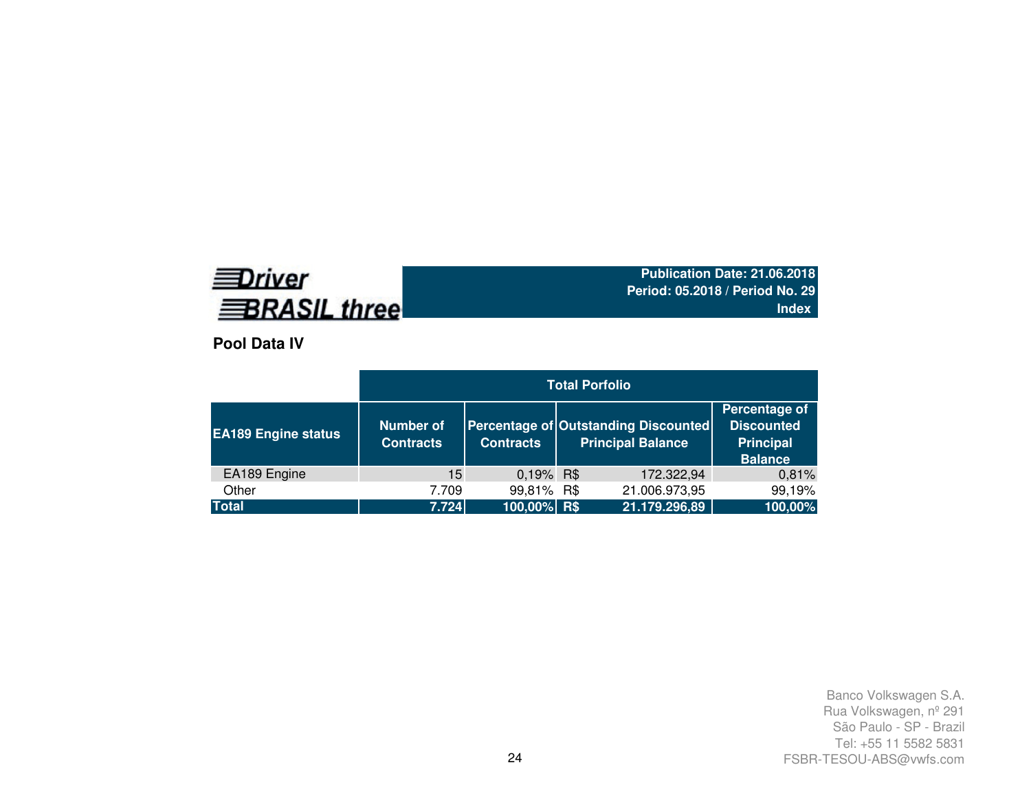# **EDriver BRASIL three**

**Publication Date: 21.06.2018 Period: 05.2018 / Period No. 29Index**

**Pool Data IV**

|                            |                                      |                  | <b>Total Porfolio</b>                                            |                                                                          |
|----------------------------|--------------------------------------|------------------|------------------------------------------------------------------|--------------------------------------------------------------------------|
| <b>EA189 Engine status</b> | <b>Number of</b><br><b>Contracts</b> | <b>Contracts</b> | Percentage of Outstanding Discounted<br><b>Principal Balance</b> | Percentage of<br><b>Discounted</b><br><b>Principal</b><br><b>Balance</b> |
| EA189 Engine               | 15                                   | 0,19% R\$        | 172.322,94                                                       | 0,81%                                                                    |
| Other                      | 7.709                                | 99,81% R\$       | 21.006.973,95                                                    | 99,19%                                                                   |
| <b>Total</b>               | 7.724                                | $100,00\%$ R\$   | 21.179.296,89                                                    | 100,00%                                                                  |